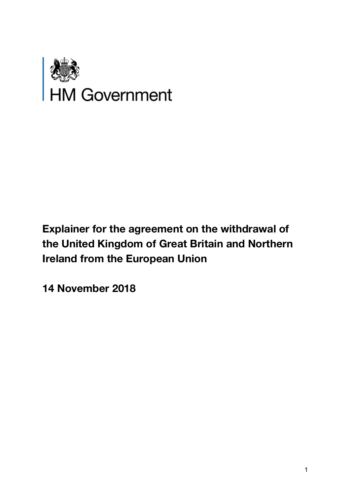

# **Explainer for the agreement on the withdrawal of the United Kingdom of Great Britain and Northern Ireland from the European Union**

**14 November 2018**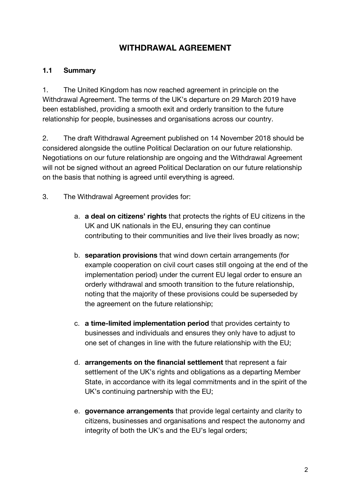# **WITHDRAWAL AGREEMENT**

#### **1.1 Summary**

1. The United Kingdom has now reached agreement in principle on the Withdrawal Agreement. The terms of the UK's departure on 29 March 2019 have been established, providing a smooth exit and orderly transition to the future relationship for people, businesses and organisations across our country.

2. The draft Withdrawal Agreement published on 14 November 2018 should be considered alongside the outline Political Declaration on our future relationship. Negotiations on our future relationship are ongoing and the Withdrawal Agreement will not be signed without an agreed Political Declaration on our future relationship on the basis that nothing is agreed until everything is agreed.

- 3. The Withdrawal Agreement provides for:
	- a. **a deal on citizens' rights** that protects the rights of EU citizens in the UK and UK nationals in the EU, ensuring they can continue contributing to their communities and live their lives broadly as now;
	- b. **separation provisions** that wind down certain arrangements (for example cooperation on civil court cases still ongoing at the end of the implementation period) under the current EU legal order to ensure an orderly withdrawal and smooth transition to the future relationship, noting that the majority of these provisions could be superseded by the agreement on the future relationship;
	- c. **a time-limited implementation period** that provides certainty to businesses and individuals and ensures they only have to adjust to one set of changes in line with the future relationship with the EU;
	- d. **arrangements on the financial settlement** that represent a fair settlement of the UK's rights and obligations as a departing Member State, in accordance with its legal commitments and in the spirit of the UK's continuing partnership with the EU;
	- e. **governance arrangements** that provide legal certainty and clarity to citizens, businesses and organisations and respect the autonomy and integrity of both the UK's and the EU's legal orders;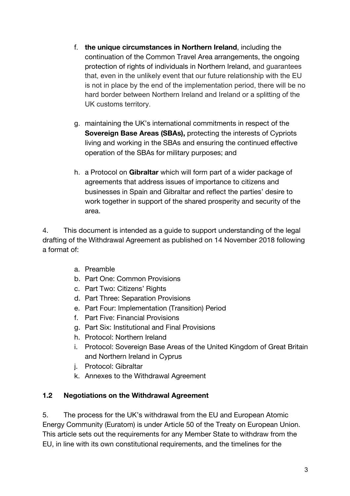- f. **the unique circumstances in Northern Ireland**, including the continuation of the Common Travel Area arrangements, the ongoing protection of rights of individuals in Northern Ireland, and guarantees that, even in the unlikely event that our future relationship with the EU is not in place by the end of the implementation period, there will be no hard border between Northern Ireland and Ireland or a splitting of the UK customs territory.
- g. maintaining the UK's international commitments in respect of the **Sovereign Base Areas (SBAs),** protecting the interests of Cypriots living and working in the SBAs and ensuring the continued effective operation of the SBAs for military purposes; and
- h. a Protocol on **Gibraltar** which will form part of a wider package of agreements that address issues of importance to citizens and businesses in Spain and Gibraltar and reflect the parties' desire to work together in support of the shared prosperity and security of the area.

4. This document is intended as a guide to support understanding of the legal drafting of the Withdrawal Agreement as published on 14 November 2018 following a format of:

- a. Preamble
- b. Part One: Common Provisions
- c. Part Two: Citizens' Rights
- d. Part Three: Separation Provisions
- e. Part Four: Implementation (Transition) Period
- f. Part Five: Financial Provisions
- g. Part Six: Institutional and Final Provisions
- h. Protocol: Northern Ireland
- i. Protocol: Sovereign Base Areas of the United Kingdom of Great Britain and Northern Ireland in Cyprus
- j. Protocol: Gibraltar
- k. Annexes to the Withdrawal Agreement

#### **1.2 Negotiations on the Withdrawal Agreement**

5. The process for the UK's withdrawal from the EU and European Atomic Energy Community (Euratom) is under Article 50 of the Treaty on European Union. This article sets out the requirements for any Member State to withdraw from the EU, in line with its own constitutional requirements, and the timelines for the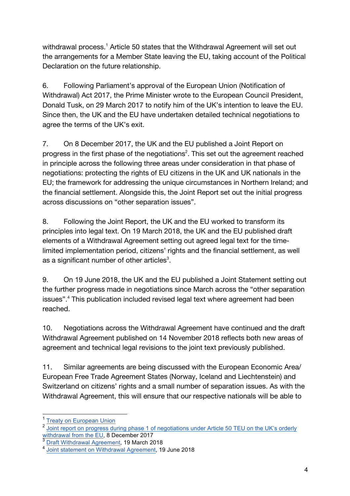withdrawal process.<sup>1</sup> Article 50 states that the Withdrawal Agreement will set out the arrangements for a Member State leaving the EU, taking account of the Political Declaration on the future relationship.

6. Following Parliament's approval of the European Union (Notification of Withdrawal) Act 2017, the Prime Minister wrote to the European Council President, Donald Tusk, on 29 March 2017 to notify him of the UK's intention to leave the EU. Since then, the UK and the EU have undertaken detailed technical negotiations to agree the terms of the UK's exit.

7. On 8 December 2017, the UK and the EU published a Joint Report on progress in the first phase of the negotiations<sup>2</sup>. This set out the agreement reached in principle across the following three areas under consideration in that phase of negotiations: protecting the rights of EU citizens in the UK and UK nationals in the EU; the framework for addressing the unique circumstances in Northern Ireland; and the financial settlement. Alongside this, the Joint Report set out the initial progress across discussions on "other separation issues".

8. Following the Joint Report, the UK and the EU worked to transform its principles into legal text. On 19 March 2018, the UK and the EU published draft elements of a Withdrawal Agreement setting out agreed legal text for the timelimited implementation period, citizens' rights and the financial settlement, as well as a significant number of other articles $3$ .

9. On 19 June 2018, the UK and the EU published a Joint Statement setting out the further progress made in negotiations since March across the "other separation issues".4 This publication included revised legal text where agreement had been reached.

10. Negotiations across the Withdrawal Agreement have continued and the draft Withdrawal Agreement published on 14 November 2018 reflects both new areas of agreement and technical legal revisions to the joint text previously published.

11. Similar agreements are being discussed with the European Economic Area/ European Free Trade Agreement States (Norway, Iceland and Liechtenstein) and Switzerland on citizens' rights and a small number of separation issues. As with the Withdrawal Agreement, this will ensure that our respective nationals will be able to

 <sup>1</sup> Treaty on European Union

<sup>&</sup>lt;sup>2</sup> Joint report on progress during phase 1 of negotiations under Article 50 TEU on the UK's orderly withdrawal from the EU, 8 December 2017

<sup>&</sup>lt;sup>3</sup> Draft Withdrawal Agreement, 19 March 2018

<sup>4</sup> Joint statement on Withdrawal Agreement, 19 June 2018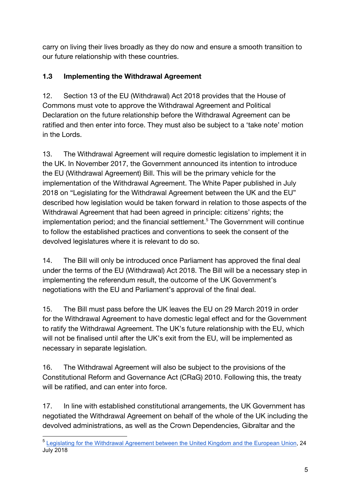carry on living their lives broadly as they do now and ensure a smooth transition to our future relationship with these countries.

# **1.3 Implementing the Withdrawal Agreement**

12. Section 13 of the EU (Withdrawal) Act 2018 provides that the House of Commons must vote to approve the Withdrawal Agreement and Political Declaration on the future relationship before the Withdrawal Agreement can be ratified and then enter into force. They must also be subject to a 'take note' motion in the Lords.

13. The Withdrawal Agreement will require domestic legislation to implement it in the UK. In November 2017, the Government announced its intention to introduce the EU (Withdrawal Agreement) Bill. This will be the primary vehicle for the implementation of the Withdrawal Agreement. The White Paper published in July 2018 on "Legislating for the Withdrawal Agreement between the UK and the EU" described how legislation would be taken forward in relation to those aspects of the Withdrawal Agreement that had been agreed in principle: citizens' rights; the implementation period; and the financial settlement.<sup>5</sup> The Government will continue to follow the established practices and conventions to seek the consent of the devolved legislatures where it is relevant to do so.

14. The Bill will only be introduced once Parliament has approved the final deal under the terms of the EU (Withdrawal) Act 2018. The Bill will be a necessary step in implementing the referendum result, the outcome of the UK Government's negotiations with the EU and Parliament's approval of the final deal.

15. The Bill must pass before the UK leaves the EU on 29 March 2019 in order for the Withdrawal Agreement to have domestic legal effect and for the Government to ratify the Withdrawal Agreement. The UK's future relationship with the EU, which will not be finalised until after the UK's exit from the EU, will be implemented as necessary in separate legislation.

16. The Withdrawal Agreement will also be subject to the provisions of the Constitutional Reform and Governance Act (CRaG) 2010. Following this, the treaty will be ratified, and can enter into force.

17. In line with established constitutional arrangements, the UK Government has negotiated the Withdrawal Agreement on behalf of the whole of the UK including the devolved administrations, as well as the Crown Dependencies, Gibraltar and the

 <sup>5</sup> Legislating for the Withdrawal Agreement between the United Kingdom and the European Union, 24 July 2018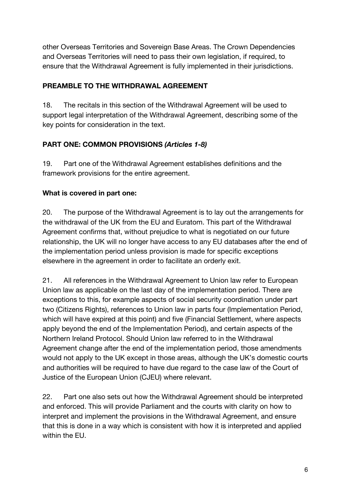other Overseas Territories and Sovereign Base Areas. The Crown Dependencies and Overseas Territories will need to pass their own legislation, if required, to ensure that the Withdrawal Agreement is fully implemented in their jurisdictions.

#### **PREAMBLE TO THE WITHDRAWAL AGREEMENT**

18. The recitals in this section of the Withdrawal Agreement will be used to support legal interpretation of the Withdrawal Agreement, describing some of the key points for consideration in the text.

# **PART ONE: COMMON PROVISIONS** *(Articles 1-8)*

19. Part one of the Withdrawal Agreement establishes definitions and the framework provisions for the entire agreement.

# **What is covered in part one:**

20. The purpose of the Withdrawal Agreement is to lay out the arrangements for the withdrawal of the UK from the EU and Euratom. This part of the Withdrawal Agreement confirms that, without prejudice to what is negotiated on our future relationship, the UK will no longer have access to any EU databases after the end of the implementation period unless provision is made for specific exceptions elsewhere in the agreement in order to facilitate an orderly exit.

21. All references in the Withdrawal Agreement to Union law refer to European Union law as applicable on the last day of the implementation period. There are exceptions to this, for example aspects of social security coordination under part two (Citizens Rights), references to Union law in parts four (Implementation Period, which will have expired at this point) and five (Financial Settlement, where aspects apply beyond the end of the Implementation Period), and certain aspects of the Northern Ireland Protocol. Should Union law referred to in the Withdrawal Agreement change after the end of the implementation period, those amendments would not apply to the UK except in those areas, although the UK's domestic courts and authorities will be required to have due regard to the case law of the Court of Justice of the European Union (CJEU) where relevant.

22. Part one also sets out how the Withdrawal Agreement should be interpreted and enforced. This will provide Parliament and the courts with clarity on how to interpret and implement the provisions in the Withdrawal Agreement, and ensure that this is done in a way which is consistent with how it is interpreted and applied within the EU.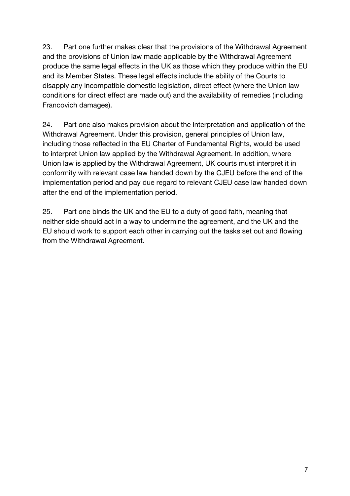23. Part one further makes clear that the provisions of the Withdrawal Agreement and the provisions of Union law made applicable by the Withdrawal Agreement produce the same legal effects in the UK as those which they produce within the EU and its Member States. These legal effects include the ability of the Courts to disapply any incompatible domestic legislation, direct effect (where the Union law conditions for direct effect are made out) and the availability of remedies (including Francovich damages).

24. Part one also makes provision about the interpretation and application of the Withdrawal Agreement. Under this provision, general principles of Union law, including those reflected in the EU Charter of Fundamental Rights, would be used to interpret Union law applied by the Withdrawal Agreement. In addition, where Union law is applied by the Withdrawal Agreement, UK courts must interpret it in conformity with relevant case law handed down by the CJEU before the end of the implementation period and pay due regard to relevant CJEU case law handed down after the end of the implementation period.

25. Part one binds the UK and the EU to a duty of good faith, meaning that neither side should act in a way to undermine the agreement, and the UK and the EU should work to support each other in carrying out the tasks set out and flowing from the Withdrawal Agreement.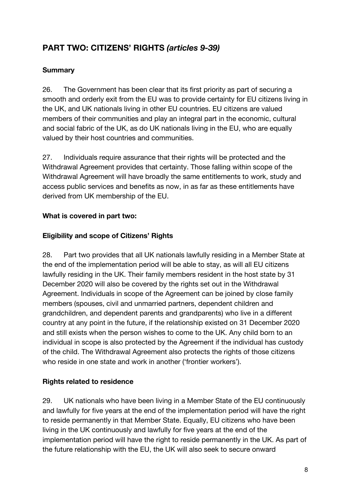# **PART TWO: CITIZENS' RIGHTS** *(articles 9-39)*

#### **Summary**

26. The Government has been clear that its first priority as part of securing a smooth and orderly exit from the EU was to provide certainty for EU citizens living in the UK, and UK nationals living in other EU countries. EU citizens are valued members of their communities and play an integral part in the economic, cultural and social fabric of the UK, as do UK nationals living in the EU, who are equally valued by their host countries and communities.

27. Individuals require assurance that their rights will be protected and the Withdrawal Agreement provides that certainty. Those falling within scope of the Withdrawal Agreement will have broadly the same entitlements to work, study and access public services and benefits as now, in as far as these entitlements have derived from UK membership of the EU.

#### **What is covered in part two:**

#### **Eligibility and scope of Citizens' Rights**

28. Part two provides that all UK nationals lawfully residing in a Member State at the end of the implementation period will be able to stay, as will all EU citizens lawfully residing in the UK. Their family members resident in the host state by 31 December 2020 will also be covered by the rights set out in the Withdrawal Agreement. Individuals in scope of the Agreement can be joined by close family members (spouses, civil and unmarried partners, dependent children and grandchildren, and dependent parents and grandparents) who live in a different country at any point in the future, if the relationship existed on 31 December 2020 and still exists when the person wishes to come to the UK. Any child born to an individual in scope is also protected by the Agreement if the individual has custody of the child. The Withdrawal Agreement also protects the rights of those citizens who reside in one state and work in another ('frontier workers').

#### **Rights related to residence**

29. UK nationals who have been living in a Member State of the EU continuously and lawfully for five years at the end of the implementation period will have the right to reside permanently in that Member State. Equally, EU citizens who have been living in the UK continuously and lawfully for five years at the end of the implementation period will have the right to reside permanently in the UK. As part of the future relationship with the EU, the UK will also seek to secure onward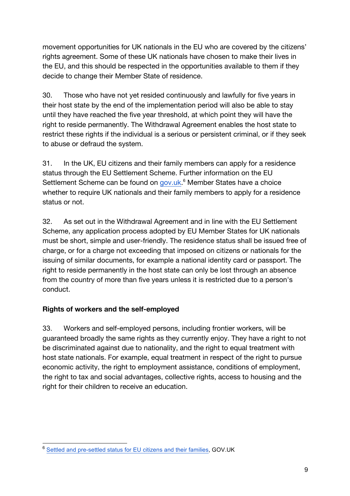movement opportunities for UK nationals in the EU who are covered by the citizens' rights agreement. Some of these UK nationals have chosen to make their lives in the EU, and this should be respected in the opportunities available to them if they decide to change their Member State of residence.

30. Those who have not yet resided continuously and lawfully for five years in their host state by the end of the implementation period will also be able to stay until they have reached the five year threshold, at which point they will have the right to reside permanently. The Withdrawal Agreement enables the host state to restrict these rights if the individual is a serious or persistent criminal, or if they seek to abuse or defraud the system.

31. In the UK, EU citizens and their family members can apply for a residence status through the EU Settlement Scheme. Further information on the EU Settlement Scheme can be found on gov.uk.<sup>6</sup> Member States have a choice whether to require UK nationals and their family members to apply for a residence status or not.

32. As set out in the Withdrawal Agreement and in line with the EU Settlement Scheme, any application process adopted by EU Member States for UK nationals must be short, simple and user-friendly. The residence status shall be issued free of charge, or for a charge not exceeding that imposed on citizens or nationals for the issuing of similar documents, for example a national identity card or passport. The right to reside permanently in the host state can only be lost through an absence from the country of more than five years unless it is restricted due to a person's conduct.

#### **Rights of workers and the self-employed**

33. Workers and self-employed persons, including frontier workers, will be guaranteed broadly the same rights as they currently enjoy. They have a right to not be discriminated against due to nationality, and the right to equal treatment with host state nationals. For example, equal treatment in respect of the right to pursue economic activity, the right to employment assistance, conditions of employment, the right to tax and social advantages, collective rights, access to housing and the right for their children to receive an education.

 <sup>6</sup> Settled and pre-settled status for EU citizens and their families, GOV.UK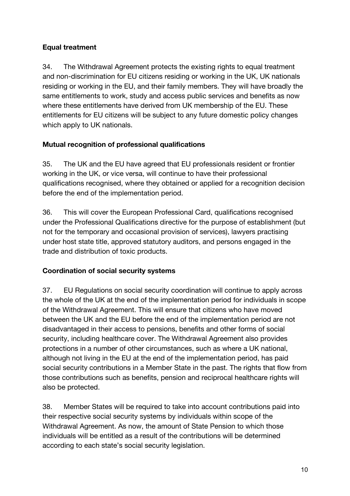# **Equal treatment**

34. The Withdrawal Agreement protects the existing rights to equal treatment and non-discrimination for EU citizens residing or working in the UK, UK nationals residing or working in the EU, and their family members. They will have broadly the same entitlements to work, study and access public services and benefits as now where these entitlements have derived from UK membership of the EU. These entitlements for EU citizens will be subject to any future domestic policy changes which apply to UK nationals.

#### **Mutual recognition of professional qualifications**

35. The UK and the EU have agreed that EU professionals resident or frontier working in the UK, or vice versa, will continue to have their professional qualifications recognised, where they obtained or applied for a recognition decision before the end of the implementation period.

36. This will cover the European Professional Card, qualifications recognised under the Professional Qualifications directive for the purpose of establishment (but not for the temporary and occasional provision of services), lawyers practising under host state title, approved statutory auditors, and persons engaged in the trade and distribution of toxic products.

#### **Coordination of social security systems**

37. EU Regulations on social security coordination will continue to apply across the whole of the UK at the end of the implementation period for individuals in scope of the Withdrawal Agreement. This will ensure that citizens who have moved between the UK and the EU before the end of the implementation period are not disadvantaged in their access to pensions, benefits and other forms of social security, including healthcare cover. The Withdrawal Agreement also provides protections in a number of other circumstances, such as where a UK national, although not living in the EU at the end of the implementation period, has paid social security contributions in a Member State in the past. The rights that flow from those contributions such as benefits, pension and reciprocal healthcare rights will also be protected.

38. Member States will be required to take into account contributions paid into their respective social security systems by individuals within scope of the Withdrawal Agreement. As now, the amount of State Pension to which those individuals will be entitled as a result of the contributions will be determined according to each state's social security legislation.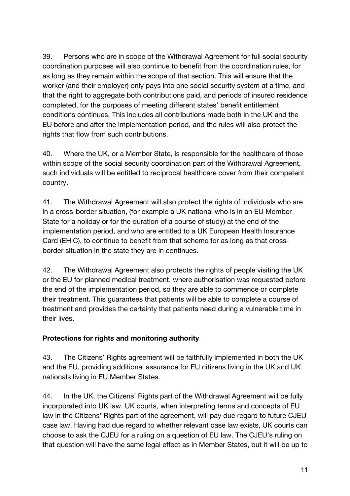39. Persons who are in scope of the Withdrawal Agreement for full social security coordination purposes will also continue to benefit from the coordination rules, for as long as they remain within the scope of that section. This will ensure that the worker (and their employer) only pays into one social security system at a time, and that the right to aggregate both contributions paid, and periods of insured residence completed, for the purposes of meeting different states' benefit entitlement conditions continues. This includes all contributions made both in the UK and the EU before and after the implementation period, and the rules will also protect the rights that flow from such contributions.

40. Where the UK, or a Member State, is responsible for the healthcare of those within scope of the social security coordination part of the Withdrawal Agreement, such individuals will be entitled to reciprocal healthcare cover from their competent country.

41. The Withdrawal Agreement will also protect the rights of individuals who are in a cross-border situation, (for example a UK national who is in an EU Member State for a holiday or for the duration of a course of study) at the end of the implementation period, and who are entitled to a UK European Health Insurance Card (EHIC), to continue to benefit from that scheme for as long as that crossborder situation in the state they are in continues.

42. The Withdrawal Agreement also protects the rights of people visiting the UK or the EU for planned medical treatment, where authorisation was requested before the end of the implementation period, so they are able to commence or complete their treatment. This guarantees that patients will be able to complete a course of treatment and provides the certainty that patients need during a vulnerable time in their lives.

#### **Protections for rights and monitoring authority**

43. The Citizens' Rights agreement will be faithfully implemented in both the UK and the EU, providing additional assurance for EU citizens living in the UK and UK nationals living in EU Member States.

44. In the UK, the Citizens' Rights part of the Withdrawal Agreement will be fully incorporated into UK law. UK courts, when interpreting terms and concepts of EU law in the Citizens' Rights part of the agreement, will pay due regard to future CJEU case law. Having had due regard to whether relevant case law exists, UK courts can choose to ask the CJEU for a ruling on a question of EU law. The CJEU's ruling on that question will have the same legal effect as in Member States, but it will be up to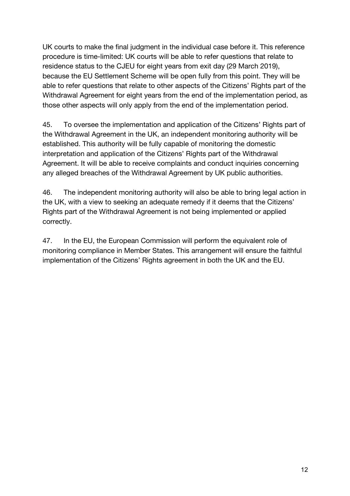UK courts to make the final judgment in the individual case before it. This reference procedure is time-limited: UK courts will be able to refer questions that relate to residence status to the CJEU for eight years from exit day (29 March 2019), because the EU Settlement Scheme will be open fully from this point. They will be able to refer questions that relate to other aspects of the Citizens' Rights part of the Withdrawal Agreement for eight years from the end of the implementation period, as those other aspects will only apply from the end of the implementation period.

45. To oversee the implementation and application of the Citizens' Rights part of the Withdrawal Agreement in the UK, an independent monitoring authority will be established. This authority will be fully capable of monitoring the domestic interpretation and application of the Citizens' Rights part of the Withdrawal Agreement. It will be able to receive complaints and conduct inquiries concerning any alleged breaches of the Withdrawal Agreement by UK public authorities.

46. The independent monitoring authority will also be able to bring legal action in the UK, with a view to seeking an adequate remedy if it deems that the Citizens' Rights part of the Withdrawal Agreement is not being implemented or applied correctly.

47. In the EU, the European Commission will perform the equivalent role of monitoring compliance in Member States. This arrangement will ensure the faithful implementation of the Citizens' Rights agreement in both the UK and the EU.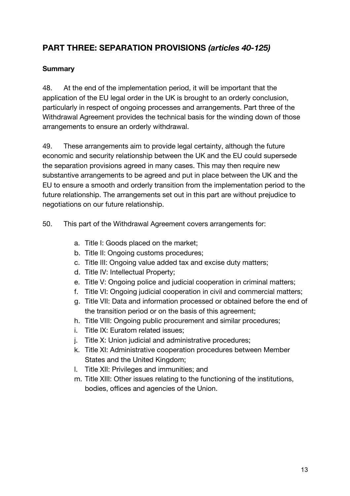# **PART THREE: SEPARATION PROVISIONS** *(articles 40-125)*

#### **Summary**

48. At the end of the implementation period, it will be important that the application of the EU legal order in the UK is brought to an orderly conclusion, particularly in respect of ongoing processes and arrangements. Part three of the Withdrawal Agreement provides the technical basis for the winding down of those arrangements to ensure an orderly withdrawal.

49. These arrangements aim to provide legal certainty, although the future economic and security relationship between the UK and the EU could supersede the separation provisions agreed in many cases. This may then require new substantive arrangements to be agreed and put in place between the UK and the EU to ensure a smooth and orderly transition from the implementation period to the future relationship. The arrangements set out in this part are without prejudice to negotiations on our future relationship.

- 50. This part of the Withdrawal Agreement covers arrangements for:
	- a. Title I: Goods placed on the market;
	- b. Title II: Ongoing customs procedures;
	- c. Title III: Ongoing value added tax and excise duty matters;
	- d. Title IV: Intellectual Property;
	- e. Title V: Ongoing police and judicial cooperation in criminal matters;
	- f. Title VI: Ongoing judicial cooperation in civil and commercial matters;
	- g. Title VII: Data and information processed or obtained before the end of the transition period or on the basis of this agreement;
	- h. Title VIII: Ongoing public procurement and similar procedures;
	- i. Title IX: Euratom related issues;
	- j. Title X: Union judicial and administrative procedures;
	- k. Title XI: Administrative cooperation procedures between Member States and the United Kingdom;
	- l. Title XII: Privileges and immunities; and
	- m. Title XIII: Other issues relating to the functioning of the institutions, bodies, offices and agencies of the Union.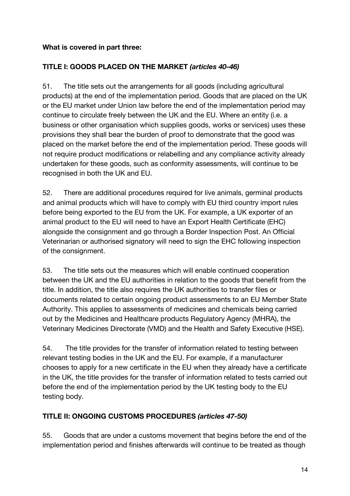#### **What is covered in part three:**

#### **TITLE I: GOODS PLACED ON THE MARKET** *(articles 40-46)*

51. The title sets out the arrangements for all goods (including agricultural products) at the end of the implementation period. Goods that are placed on the UK or the EU market under Union law before the end of the implementation period may continue to circulate freely between the UK and the EU. Where an entity (i.e. a business or other organisation which supplies goods, works or services) uses these provisions they shall bear the burden of proof to demonstrate that the good was placed on the market before the end of the implementation period. These goods will not require product modifications or relabelling and any compliance activity already undertaken for these goods, such as conformity assessments, will continue to be recognised in both the UK and EU.

52. There are additional procedures required for live animals, germinal products and animal products which will have to comply with EU third country import rules before being exported to the EU from the UK. For example, a UK exporter of an animal product to the EU will need to have an Export Health Certificate (EHC) alongside the consignment and go through a Border Inspection Post. An Official Veterinarian or authorised signatory will need to sign the EHC following inspection of the consignment.

53. The title sets out the measures which will enable continued cooperation between the UK and the EU authorities in relation to the goods that benefit from the title. In addition, the title also requires the UK authorities to transfer files or documents related to certain ongoing product assessments to an EU Member State Authority. This applies to assessments of medicines and chemicals being carried out by the Medicines and Healthcare products Regulatory Agency (MHRA), the Veterinary Medicines Directorate (VMD) and the Health and Safety Executive (HSE).

54. The title provides for the transfer of information related to testing between relevant testing bodies in the UK and the EU. For example, if a manufacturer chooses to apply for a new certificate in the EU when they already have a certificate in the UK, the title provides for the transfer of information related to tests carried out before the end of the implementation period by the UK testing body to the EU testing body.

#### **TITLE II: ONGOING CUSTOMS PROCEDURES** *(articles 47-50)*

55. Goods that are under a customs movement that begins before the end of the implementation period and finishes afterwards will continue to be treated as though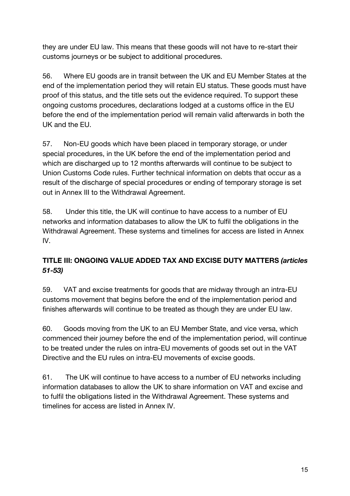they are under EU law. This means that these goods will not have to re-start their customs journeys or be subject to additional procedures.

56. Where EU goods are in transit between the UK and EU Member States at the end of the implementation period they will retain EU status. These goods must have proof of this status, and the title sets out the evidence required. To support these ongoing customs procedures, declarations lodged at a customs office in the EU before the end of the implementation period will remain valid afterwards in both the UK and the EU.

57. Non-EU goods which have been placed in temporary storage, or under special procedures, in the UK before the end of the implementation period and which are discharged up to 12 months afterwards will continue to be subject to Union Customs Code rules. Further technical information on debts that occur as a result of the discharge of special procedures or ending of temporary storage is set out in Annex III to the Withdrawal Agreement.

58. Under this title, the UK will continue to have access to a number of EU networks and information databases to allow the UK to fulfil the obligations in the Withdrawal Agreement. These systems and timelines for access are listed in Annex IV.

# **TITLE III: ONGOING VALUE ADDED TAX AND EXCISE DUTY MATTERS** *(articles 51-53)*

59. VAT and excise treatments for goods that are midway through an intra-EU customs movement that begins before the end of the implementation period and finishes afterwards will continue to be treated as though they are under EU law.

60. Goods moving from the UK to an EU Member State, and vice versa, which commenced their journey before the end of the implementation period, will continue to be treated under the rules on intra-EU movements of goods set out in the VAT Directive and the EU rules on intra-EU movements of excise goods.

61. The UK will continue to have access to a number of EU networks including information databases to allow the UK to share information on VAT and excise and to fulfil the obligations listed in the Withdrawal Agreement. These systems and timelines for access are listed in Annex IV.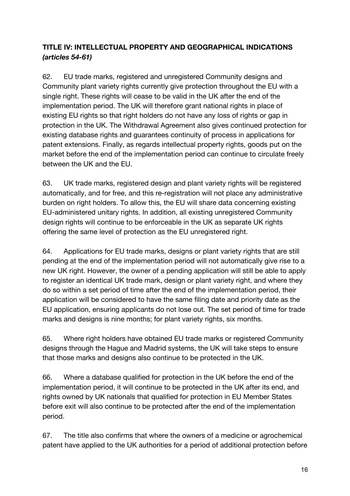# **TITLE IV: INTELLECTUAL PROPERTY AND GEOGRAPHICAL INDICATIONS**  *(articles 54-61)*

62. EU trade marks, registered and unregistered Community designs and Community plant variety rights currently give protection throughout the EU with a single right. These rights will cease to be valid in the UK after the end of the implementation period. The UK will therefore grant national rights in place of existing EU rights so that right holders do not have any loss of rights or gap in protection in the UK. The Withdrawal Agreement also gives continued protection for existing database rights and guarantees continuity of process in applications for patent extensions. Finally, as regards intellectual property rights, goods put on the market before the end of the implementation period can continue to circulate freely between the UK and the EU.

63. UK trade marks, registered design and plant variety rights will be registered automatically, and for free, and this re-registration will not place any administrative burden on right holders. To allow this, the EU will share data concerning existing EU-administered unitary rights. In addition, all existing unregistered Community design rights will continue to be enforceable in the UK as separate UK rights offering the same level of protection as the EU unregistered right.

64. Applications for EU trade marks, designs or plant variety rights that are still pending at the end of the implementation period will not automatically give rise to a new UK right. However, the owner of a pending application will still be able to apply to register an identical UK trade mark, design or plant variety right, and where they do so within a set period of time after the end of the implementation period, their application will be considered to have the same filing date and priority date as the EU application, ensuring applicants do not lose out. The set period of time for trade marks and designs is nine months; for plant variety rights, six months.

65. Where right holders have obtained EU trade marks or registered Community designs through the Hague and Madrid systems, the UK will take steps to ensure that those marks and designs also continue to be protected in the UK.

66. Where a database qualified for protection in the UK before the end of the implementation period, it will continue to be protected in the UK after its end, and rights owned by UK nationals that qualified for protection in EU Member States before exit will also continue to be protected after the end of the implementation period.

67. The title also confirms that where the owners of a medicine or agrochemical patent have applied to the UK authorities for a period of additional protection before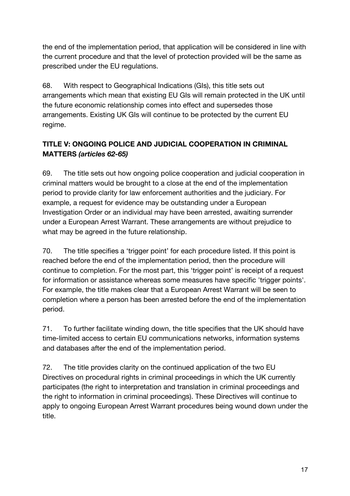the end of the implementation period, that application will be considered in line with the current procedure and that the level of protection provided will be the same as prescribed under the EU regulations.

68. With respect to Geographical Indications (GIs), this title sets out arrangements which mean that existing EU GIs will remain protected in the UK until the future economic relationship comes into effect and supersedes those arrangements. Existing UK GIs will continue to be protected by the current EU regime.

# **TITLE V: ONGOING POLICE AND JUDICIAL COOPERATION IN CRIMINAL MATTERS** *(articles 62-65)*

69. The title sets out how ongoing police cooperation and judicial cooperation in criminal matters would be brought to a close at the end of the implementation period to provide clarity for law enforcement authorities and the judiciary. For example, a request for evidence may be outstanding under a European Investigation Order or an individual may have been arrested, awaiting surrender under a European Arrest Warrant. These arrangements are without prejudice to what may be agreed in the future relationship.

70. The title specifies a 'trigger point' for each procedure listed. If this point is reached before the end of the implementation period, then the procedure will continue to completion. For the most part, this 'trigger point' is receipt of a request for information or assistance whereas some measures have specific 'trigger points'. For example, the title makes clear that a European Arrest Warrant will be seen to completion where a person has been arrested before the end of the implementation period.

71. To further facilitate winding down, the title specifies that the UK should have time-limited access to certain EU communications networks, information systems and databases after the end of the implementation period.

72. The title provides clarity on the continued application of the two EU Directives on procedural rights in criminal proceedings in which the UK currently participates (the right to interpretation and translation in criminal proceedings and the right to information in criminal proceedings). These Directives will continue to apply to ongoing European Arrest Warrant procedures being wound down under the title.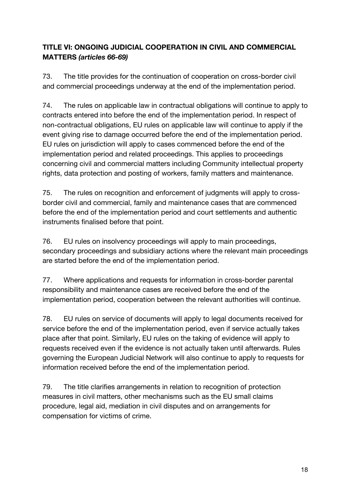# **TITLE VI: ONGOING JUDICIAL COOPERATION IN CIVIL AND COMMERCIAL MATTERS** *(articles 66-69)*

73. The title provides for the continuation of cooperation on cross-border civil and commercial proceedings underway at the end of the implementation period.

74. The rules on applicable law in contractual obligations will continue to apply to contracts entered into before the end of the implementation period. In respect of non-contractual obligations, EU rules on applicable law will continue to apply if the event giving rise to damage occurred before the end of the implementation period. EU rules on jurisdiction will apply to cases commenced before the end of the implementation period and related proceedings. This applies to proceedings concerning civil and commercial matters including Community intellectual property rights, data protection and posting of workers, family matters and maintenance.

75. The rules on recognition and enforcement of judgments will apply to crossborder civil and commercial, family and maintenance cases that are commenced before the end of the implementation period and court settlements and authentic instruments finalised before that point.

76. EU rules on insolvency proceedings will apply to main proceedings, secondary proceedings and subsidiary actions where the relevant main proceedings are started before the end of the implementation period.

77. Where applications and requests for information in cross-border parental responsibility and maintenance cases are received before the end of the implementation period, cooperation between the relevant authorities will continue.

78. EU rules on service of documents will apply to legal documents received for service before the end of the implementation period, even if service actually takes place after that point. Similarly, EU rules on the taking of evidence will apply to requests received even if the evidence is not actually taken until afterwards. Rules governing the European Judicial Network will also continue to apply to requests for information received before the end of the implementation period.

79. The title clarifies arrangements in relation to recognition of protection measures in civil matters, other mechanisms such as the EU small claims procedure, legal aid, mediation in civil disputes and on arrangements for compensation for victims of crime.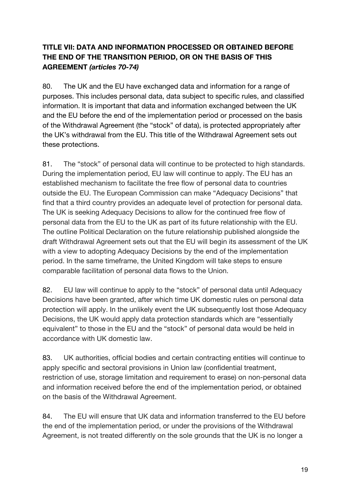# **TITLE VII: DATA AND INFORMATION PROCESSED OR OBTAINED BEFORE THE END OF THE TRANSITION PERIOD, OR ON THE BASIS OF THIS AGREEMENT** *(articles 70-74)*

80. The UK and the EU have exchanged data and information for a range of purposes. This includes personal data, data subject to specific rules, and classified information. It is important that data and information exchanged between the UK and the EU before the end of the implementation period or processed on the basis of the Withdrawal Agreement (the "stock" of data), is protected appropriately after the UK's withdrawal from the EU. This title of the Withdrawal Agreement sets out these protections.

81. The "stock" of personal data will continue to be protected to high standards. During the implementation period, EU law will continue to apply. The EU has an established mechanism to facilitate the free flow of personal data to countries outside the EU. The European Commission can make "Adequacy Decisions" that find that a third country provides an adequate level of protection for personal data. The UK is seeking Adequacy Decisions to allow for the continued free flow of personal data from the EU to the UK as part of its future relationship with the EU. The outline Political Declaration on the future relationship published alongside the draft Withdrawal Agreement sets out that the EU will begin its assessment of the UK with a view to adopting Adequacy Decisions by the end of the implementation period. In the same timeframe, the United Kingdom will take steps to ensure comparable facilitation of personal data flows to the Union.

82. EU law will continue to apply to the "stock" of personal data until Adequacy Decisions have been granted, after which time UK domestic rules on personal data protection will apply. In the unlikely event the UK subsequently lost those Adequacy Decisions, the UK would apply data protection standards which are "essentially equivalent" to those in the EU and the "stock" of personal data would be held in accordance with UK domestic law.

83. UK authorities, official bodies and certain contracting entities will continue to apply specific and sectoral provisions in Union law (confidential treatment, restriction of use, storage limitation and requirement to erase) on non-personal data and information received before the end of the implementation period, or obtained on the basis of the Withdrawal Agreement.

84. The EU will ensure that UK data and information transferred to the EU before the end of the implementation period, or under the provisions of the Withdrawal Agreement, is not treated differently on the sole grounds that the UK is no longer a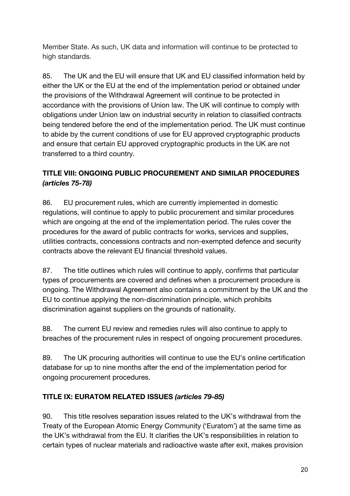Member State. As such, UK data and information will continue to be protected to high standards.

85. The UK and the EU will ensure that UK and EU classified information held by either the UK or the EU at the end of the implementation period or obtained under the provisions of the Withdrawal Agreement will continue to be protected in accordance with the provisions of Union law. The UK will continue to comply with obligations under Union law on industrial security in relation to classified contracts being tendered before the end of the implementation period. The UK must continue to abide by the current conditions of use for EU approved cryptographic products and ensure that certain EU approved cryptographic products in the UK are not transferred to a third country.

# **TITLE VIII: ONGOING PUBLIC PROCUREMENT AND SIMILAR PROCEDURES**  *(articles 75-78)*

86. EU procurement rules, which are currently implemented in domestic regulations, will continue to apply to public procurement and similar procedures which are ongoing at the end of the implementation period. The rules cover the procedures for the award of public contracts for works, services and supplies, utilities contracts, concessions contracts and non-exempted defence and security contracts above the relevant EU financial threshold values.

87. The title outlines which rules will continue to apply, confirms that particular types of procurements are covered and defines when a procurement procedure is ongoing. The Withdrawal Agreement also contains a commitment by the UK and the EU to continue applying the non-discrimination principle, which prohibits discrimination against suppliers on the grounds of nationality.

88. The current EU review and remedies rules will also continue to apply to breaches of the procurement rules in respect of ongoing procurement procedures.

89. The UK procuring authorities will continue to use the EU's online certification database for up to nine months after the end of the implementation period for ongoing procurement procedures.

#### **TITLE IX: EURATOM RELATED ISSUES** *(articles 79-85)*

90. This title resolves separation issues related to the UK's withdrawal from the Treaty of the European Atomic Energy Community ('Euratom') at the same time as the UK's withdrawal from the EU. It clarifies the UK's responsibilities in relation to certain types of nuclear materials and radioactive waste after exit, makes provision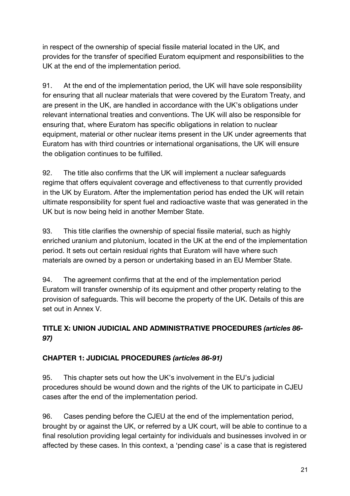in respect of the ownership of special fissile material located in the UK, and provides for the transfer of specified Euratom equipment and responsibilities to the UK at the end of the implementation period.

91. At the end of the implementation period, the UK will have sole responsibility for ensuring that all nuclear materials that were covered by the Euratom Treaty, and are present in the UK, are handled in accordance with the UK's obligations under relevant international treaties and conventions. The UK will also be responsible for ensuring that, where Euratom has specific obligations in relation to nuclear equipment, material or other nuclear items present in the UK under agreements that Euratom has with third countries or international organisations, the UK will ensure the obligation continues to be fulfilled.

92. The title also confirms that the UK will implement a nuclear safeguards regime that offers equivalent coverage and effectiveness to that currently provided in the UK by Euratom. After the implementation period has ended the UK will retain ultimate responsibility for spent fuel and radioactive waste that was generated in the UK but is now being held in another Member State.

93. This title clarifies the ownership of special fissile material, such as highly enriched uranium and plutonium, located in the UK at the end of the implementation period. It sets out certain residual rights that Euratom will have where such materials are owned by a person or undertaking based in an EU Member State.

94. The agreement confirms that at the end of the implementation period Euratom will transfer ownership of its equipment and other property relating to the provision of safeguards. This will become the property of the UK. Details of this are set out in Annex V.

# **TITLE X: UNION JUDICIAL AND ADMINISTRATIVE PROCEDURES** *(articles 86- 97)*

# **CHAPTER 1: JUDICIAL PROCEDURES** *(articles 86-91)*

95. This chapter sets out how the UK's involvement in the EU's judicial procedures should be wound down and the rights of the UK to participate in CJEU cases after the end of the implementation period.

96. Cases pending before the CJEU at the end of the implementation period, brought by or against the UK, or referred by a UK court, will be able to continue to a final resolution providing legal certainty for individuals and businesses involved in or affected by these cases. In this context, a 'pending case' is a case that is registered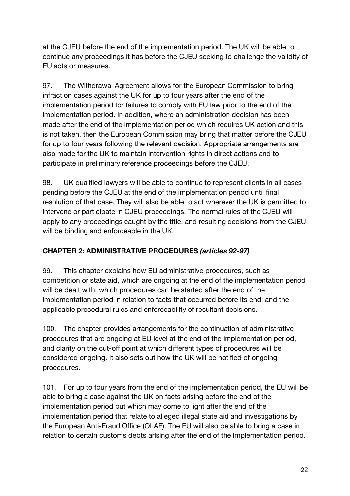at the CJEU before the end of the implementation period. The UK will be able to continue any proceedings it has before the CJEU seeking to challenge the validity of EU acts or measures.

97. The Withdrawal Agreement allows for the European Commission to bring infraction cases against the UK for up to four years after the end of the implementation period for failures to comply with EU law prior to the end of the implementation period. In addition, where an administration decision has been made after the end of the implementation period which requires UK action and this is not taken, then the European Commission may bring that matter before the CJEU for up to four years following the relevant decision. Appropriate arrangements are also made for the UK to maintain intervention rights in direct actions and to participate in preliminary reference proceedings before the CJEU.

98. UK qualified lawyers will be able to continue to represent clients in all cases pending before the CJEU at the end of the implementation period until final resolution of that case. They will also be able to act wherever the UK is permitted to intervene or participate in CJEU proceedings. The normal rules of the CJEU will apply to any proceedings caught by the title, and resulting decisions from the CJEU will be binding and enforceable in the UK.

# **CHAPTER 2: ADMINISTRATIVE PROCEDURES** *(articles 92-97)*

99. This chapter explains how EU administrative procedures, such as competition or state aid, which are ongoing at the end of the implementation period will be dealt with; which procedures can be started after the end of the implementation period in relation to facts that occurred before its end; and the applicable procedural rules and enforceability of resultant decisions.

100. The chapter provides arrangements for the continuation of administrative procedures that are ongoing at EU level at the end of the implementation period, and clarity on the cut-off point at which different types of procedures will be considered ongoing. It also sets out how the UK will be notified of ongoing procedures.

101. For up to four years from the end of the implementation period, the EU will be able to bring a case against the UK on facts arising before the end of the implementation period but which may come to light after the end of the implementation period that relate to alleged illegal state aid and investigations by the European Anti-Fraud Office (OLAF). The EU will also be able to bring a case in relation to certain customs debts arising after the end of the implementation period.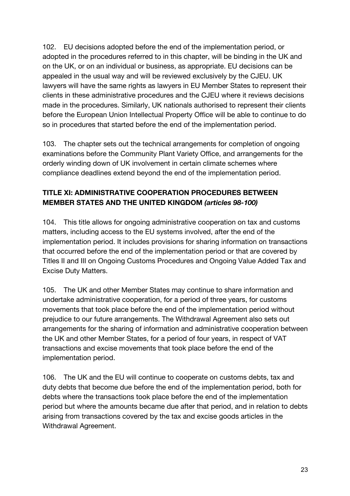102. EU decisions adopted before the end of the implementation period, or adopted in the procedures referred to in this chapter, will be binding in the UK and on the UK, or on an individual or business, as appropriate. EU decisions can be appealed in the usual way and will be reviewed exclusively by the CJEU. UK lawyers will have the same rights as lawyers in EU Member States to represent their clients in these administrative procedures and the CJEU where it reviews decisions made in the procedures. Similarly, UK nationals authorised to represent their clients before the European Union Intellectual Property Office will be able to continue to do so in procedures that started before the end of the implementation period.

103. The chapter sets out the technical arrangements for completion of ongoing examinations before the Community Plant Variety Office, and arrangements for the orderly winding down of UK involvement in certain climate schemes where compliance deadlines extend beyond the end of the implementation period.

# **TITLE XI: ADMINISTRATIVE COOPERATION PROCEDURES BETWEEN MEMBER STATES AND THE UNITED KINGDOM** *(articles 98-100)*

104. This title allows for ongoing administrative cooperation on tax and customs matters, including access to the EU systems involved, after the end of the implementation period. It includes provisions for sharing information on transactions that occurred before the end of the implementation period or that are covered by Titles II and III on Ongoing Customs Procedures and Ongoing Value Added Tax and Excise Duty Matters.

105. The UK and other Member States may continue to share information and undertake administrative cooperation, for a period of three years, for customs movements that took place before the end of the implementation period without prejudice to our future arrangements. The Withdrawal Agreement also sets out arrangements for the sharing of information and administrative cooperation between the UK and other Member States, for a period of four years, in respect of VAT transactions and excise movements that took place before the end of the implementation period.

106. The UK and the EU will continue to cooperate on customs debts, tax and duty debts that become due before the end of the implementation period, both for debts where the transactions took place before the end of the implementation period but where the amounts became due after that period, and in relation to debts arising from transactions covered by the tax and excise goods articles in the Withdrawal Agreement.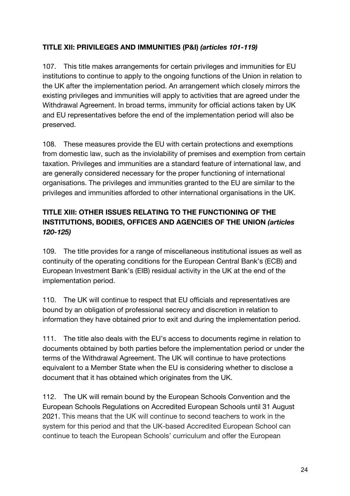# **TITLE XII: PRIVILEGES AND IMMUNITIES (P&I)** *(articles 101-119)*

107. This title makes arrangements for certain privileges and immunities for EU institutions to continue to apply to the ongoing functions of the Union in relation to the UK after the implementation period. An arrangement which closely mirrors the existing privileges and immunities will apply to activities that are agreed under the Withdrawal Agreement. In broad terms, immunity for official actions taken by UK and EU representatives before the end of the implementation period will also be preserved.

108. These measures provide the EU with certain protections and exemptions from domestic law, such as the inviolability of premises and exemption from certain taxation. Privileges and immunities are a standard feature of international law, and are generally considered necessary for the proper functioning of international organisations. The privileges and immunities granted to the EU are similar to the privileges and immunities afforded to other international organisations in the UK.

# **TITLE XIII: OTHER ISSUES RELATING TO THE FUNCTIONING OF THE INSTITUTIONS, BODIES, OFFICES AND AGENCIES OF THE UNION** *(articles 120-125)*

109. The title provides for a range of miscellaneous institutional issues as well as continuity of the operating conditions for the European Central Bank's (ECB) and European Investment Bank's (EIB) residual activity in the UK at the end of the implementation period.

110. The UK will continue to respect that EU officials and representatives are bound by an obligation of professional secrecy and discretion in relation to information they have obtained prior to exit and during the implementation period.

111. The title also deals with the EU's access to documents regime in relation to documents obtained by both parties before the implementation period or under the terms of the Withdrawal Agreement. The UK will continue to have protections equivalent to a Member State when the EU is considering whether to disclose a document that it has obtained which originates from the UK.

112. The UK will remain bound by the European Schools Convention and the European Schools Regulations on Accredited European Schools until 31 August 2021. This means that the UK will continue to second teachers to work in the system for this period and that the UK-based Accredited European School can continue to teach the European Schools' curriculum and offer the European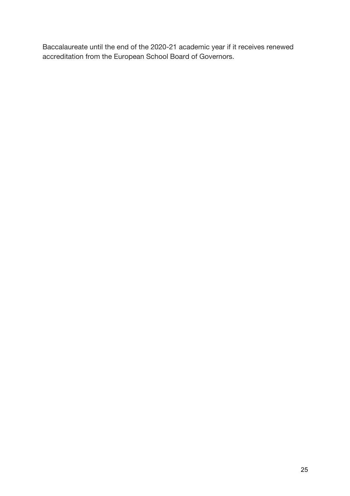Baccalaureate until the end of the 2020-21 academic year if it receives renewed accreditation from the European School Board of Governors.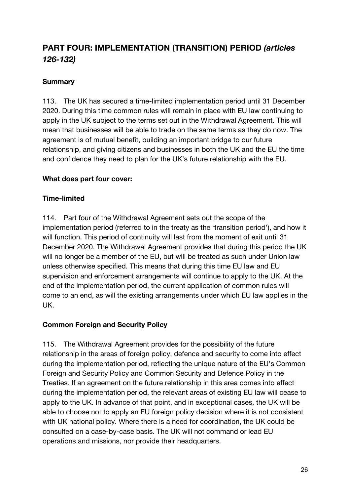# **PART FOUR: IMPLEMENTATION (TRANSITION) PERIOD** *(articles 126-132)*

#### **Summary**

113. The UK has secured a time-limited implementation period until 31 December 2020. During this time common rules will remain in place with EU law continuing to apply in the UK subject to the terms set out in the Withdrawal Agreement. This will mean that businesses will be able to trade on the same terms as they do now. The agreement is of mutual benefit, building an important bridge to our future relationship, and giving citizens and businesses in both the UK and the EU the time and confidence they need to plan for the UK's future relationship with the EU.

#### **What does part four cover:**

#### **Time-limited**

114. Part four of the Withdrawal Agreement sets out the scope of the implementation period (referred to in the treaty as the 'transition period'), and how it will function. This period of continuity will last from the moment of exit until 31 December 2020. The Withdrawal Agreement provides that during this period the UK will no longer be a member of the EU, but will be treated as such under Union law unless otherwise specified. This means that during this time EU law and EU supervision and enforcement arrangements will continue to apply to the UK. At the end of the implementation period, the current application of common rules will come to an end, as will the existing arrangements under which EU law applies in the UK.

#### **Common Foreign and Security Policy**

115. The Withdrawal Agreement provides for the possibility of the future relationship in the areas of foreign policy, defence and security to come into effect during the implementation period, reflecting the unique nature of the EU's Common Foreign and Security Policy and Common Security and Defence Policy in the Treaties. If an agreement on the future relationship in this area comes into effect during the implementation period, the relevant areas of existing EU law will cease to apply to the UK. In advance of that point, and in exceptional cases, the UK will be able to choose not to apply an EU foreign policy decision where it is not consistent with UK national policy. Where there is a need for coordination, the UK could be consulted on a case-by-case basis. The UK will not command or lead EU operations and missions, nor provide their headquarters.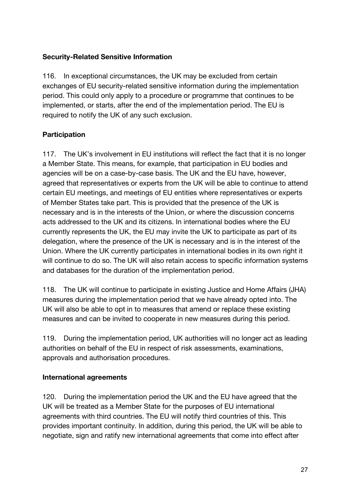#### **Security-Related Sensitive Information**

116. In exceptional circumstances, the UK may be excluded from certain exchanges of EU security-related sensitive information during the implementation period. This could only apply to a procedure or programme that continues to be implemented, or starts, after the end of the implementation period. The EU is required to notify the UK of any such exclusion.

#### **Participation**

117. The UK's involvement in EU institutions will reflect the fact that it is no longer a Member State. This means, for example, that participation in EU bodies and agencies will be on a case-by-case basis. The UK and the EU have, however, agreed that representatives or experts from the UK will be able to continue to attend certain EU meetings, and meetings of EU entities where representatives or experts of Member States take part. This is provided that the presence of the UK is necessary and is in the interests of the Union, or where the discussion concerns acts addressed to the UK and its citizens. In international bodies where the EU currently represents the UK, the EU may invite the UK to participate as part of its delegation, where the presence of the UK is necessary and is in the interest of the Union. Where the UK currently participates in international bodies in its own right it will continue to do so. The UK will also retain access to specific information systems and databases for the duration of the implementation period.

118. The UK will continue to participate in existing Justice and Home Affairs (JHA) measures during the implementation period that we have already opted into. The UK will also be able to opt in to measures that amend or replace these existing measures and can be invited to cooperate in new measures during this period.

119. During the implementation period, UK authorities will no longer act as leading authorities on behalf of the EU in respect of risk assessments, examinations, approvals and authorisation procedures.

#### **International agreements**

120. During the implementation period the UK and the EU have agreed that the UK will be treated as a Member State for the purposes of EU international agreements with third countries. The EU will notify third countries of this. This provides important continuity. In addition, during this period, the UK will be able to negotiate, sign and ratify new international agreements that come into effect after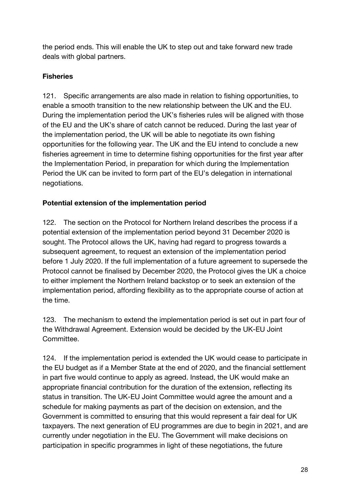the period ends. This will enable the UK to step out and take forward new trade deals with global partners.

# **Fisheries**

121. Specific arrangements are also made in relation to fishing opportunities, to enable a smooth transition to the new relationship between the UK and the EU. During the implementation period the UK's fisheries rules will be aligned with those of the EU and the UK's share of catch cannot be reduced. During the last year of the implementation period, the UK will be able to negotiate its own fishing opportunities for the following year. The UK and the EU intend to conclude a new fisheries agreement in time to determine fishing opportunities for the first year after the Implementation Period, in preparation for which during the Implementation Period the UK can be invited to form part of the EU's delegation in international negotiations.

#### **Potential extension of the implementation period**

122. The section on the Protocol for Northern Ireland describes the process if a potential extension of the implementation period beyond 31 December 2020 is sought. The Protocol allows the UK, having had regard to progress towards a subsequent agreement, to request an extension of the implementation period before 1 July 2020. If the full implementation of a future agreement to supersede the Protocol cannot be finalised by December 2020, the Protocol gives the UK a choice to either implement the Northern Ireland backstop or to seek an extension of the implementation period, affording flexibility as to the appropriate course of action at the time.

123. The mechanism to extend the implementation period is set out in part four of the Withdrawal Agreement. Extension would be decided by the UK-EU Joint Committee.

124. If the implementation period is extended the UK would cease to participate in the EU budget as if a Member State at the end of 2020, and the financial settlement in part five would continue to apply as agreed. Instead, the UK would make an appropriate financial contribution for the duration of the extension, reflecting its status in transition. The UK-EU Joint Committee would agree the amount and a schedule for making payments as part of the decision on extension, and the Government is committed to ensuring that this would represent a fair deal for UK taxpayers. The next generation of EU programmes are due to begin in 2021, and are currently under negotiation in the EU. The Government will make decisions on participation in specific programmes in light of these negotiations, the future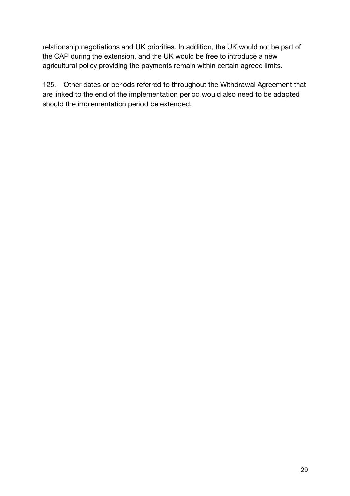relationship negotiations and UK priorities. In addition, the UK would not be part of the CAP during the extension, and the UK would be free to introduce a new agricultural policy providing the payments remain within certain agreed limits.

125. Other dates or periods referred to throughout the Withdrawal Agreement that are linked to the end of the implementation period would also need to be adapted should the implementation period be extended.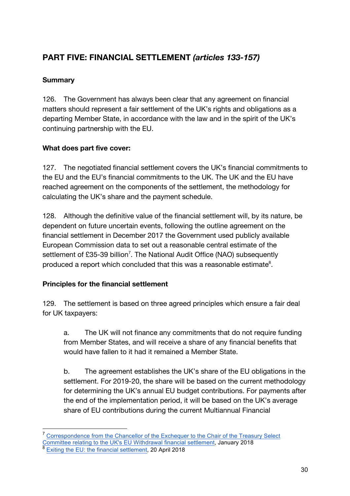# **PART FIVE: FINANCIAL SETTLEMENT** *(articles 133-157)*

# **Summary**

126. The Government has always been clear that any agreement on financial matters should represent a fair settlement of the UK's rights and obligations as a departing Member State, in accordance with the law and in the spirit of the UK's continuing partnership with the EU.

# **What does part five cover:**

127. The negotiated financial settlement covers the UK's financial commitments to the EU and the EU's financial commitments to the UK. The UK and the EU have reached agreement on the components of the settlement, the methodology for calculating the UK's share and the payment schedule.

128. Although the definitive value of the financial settlement will, by its nature, be dependent on future uncertain events, following the outline agreement on the financial settlement in December 2017 the Government used publicly available European Commission data to set out a reasonable central estimate of the settlement of £35-39 billion<sup>7</sup>. The National Audit Office (NAO) subsequently produced a report which concluded that this was a reasonable estimate $8$ .

# **Principles for the financial settlement**

129. The settlement is based on three agreed principles which ensure a fair deal for UK taxpayers:

a. The UK will not finance any commitments that do not require funding from Member States, and will receive a share of any financial benefits that would have fallen to it had it remained a Member State.

b. The agreement establishes the UK's share of the EU obligations in the settlement. For 2019-20, the share will be based on the current methodology for determining the UK's annual EU budget contributions. For payments after the end of the implementation period, it will be based on the UK's average share of EU contributions during the current Multiannual Financial

 <sup>7</sup> Correspondence from the Chancellor of the Exchequer to the Chair of the Treasury Select Committee relating to the UK's EU Withdrawal financial settlement, January 2018 Exiting the EU: the financial settlement, 20 April 2018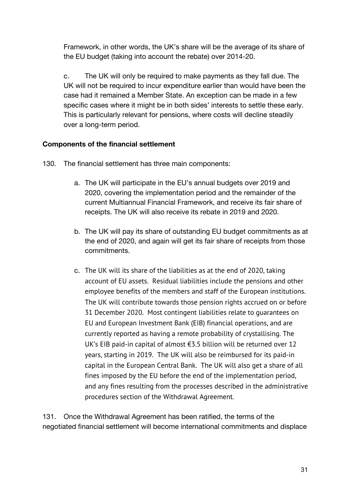Framework, in other words, the UK's share will be the average of its share of the EU budget (taking into account the rebate) over 2014-20.

c. The UK will only be required to make payments as they fall due. The UK will not be required to incur expenditure earlier than would have been the case had it remained a Member State. An exception can be made in a few specific cases where it might be in both sides' interests to settle these early. This is particularly relevant for pensions, where costs will decline steadily over a long-term period.

#### **Components of the financial settlement**

- 130. The financial settlement has three main components:
	- a. The UK will participate in the EU's annual budgets over 2019 and 2020, covering the implementation period and the remainder of the current Multiannual Financial Framework, and receive its fair share of receipts. The UK will also receive its rebate in 2019 and 2020.
	- b. The UK will pay its share of outstanding EU budget commitments as at the end of 2020, and again will get its fair share of receipts from those commitments.
	- c. The UK will its share of the liabilities as at the end of 2020, taking account of EU assets. Residual liabilities include the pensions and other employee benefits of the members and staff of the European institutions. The UK will contribute towards those pension rights accrued on or before 31 December 2020. Most contingent liabilities relate to guarantees on EU and European Investment Bank (EIB) financial operations, and are currently reported as having a remote probability of crystallising. The UK's EIB paid-in capital of almost €3.5 billion will be returned over 12 years, starting in 2019. The UK will also be reimbursed for its paid-in capital in the European Central Bank. The UK will also get a share of all fines imposed by the EU before the end of the implementation period, and any fines resulting from the processes described in the administrative procedures section of the Withdrawal Agreement.

131. Once the Withdrawal Agreement has been ratified, the terms of the negotiated financial settlement will become international commitments and displace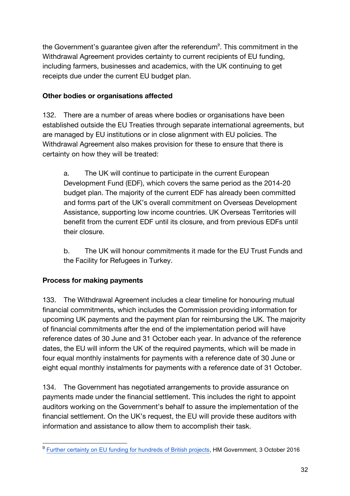the Government's guarantee given after the referendum $\degree$ . This commitment in the Withdrawal Agreement provides certainty to current recipients of EU funding, including farmers, businesses and academics, with the UK continuing to get receipts due under the current EU budget plan.

#### **Other bodies or organisations affected**

132. There are a number of areas where bodies or organisations have been established outside the EU Treaties through separate international agreements, but are managed by EU institutions or in close alignment with EU policies. The Withdrawal Agreement also makes provision for these to ensure that there is certainty on how they will be treated:

a. The UK will continue to participate in the current European Development Fund (EDF), which covers the same period as the 2014-20 budget plan. The majority of the current EDF has already been committed and forms part of the UK's overall commitment on Overseas Development Assistance, supporting low income countries. UK Overseas Territories will benefit from the current EDF until its closure, and from previous EDFs until their closure.

b. The UK will honour commitments it made for the EU Trust Funds and the Facility for Refugees in Turkey.

# **Process for making payments**

133. The Withdrawal Agreement includes a clear timeline for honouring mutual financial commitments, which includes the Commission providing information for upcoming UK payments and the payment plan for reimbursing the UK. The majority of financial commitments after the end of the implementation period will have reference dates of 30 June and 31 October each year. In advance of the reference dates, the EU will inform the UK of the required payments, which will be made in four equal monthly instalments for payments with a reference date of 30 June or eight equal monthly instalments for payments with a reference date of 31 October.

134. The Government has negotiated arrangements to provide assurance on payments made under the financial settlement. This includes the right to appoint auditors working on the Government's behalf to assure the implementation of the financial settlement. On the UK's request, the EU will provide these auditors with information and assistance to allow them to accomplish their task.

<sup>&</sup>lt;sup>9</sup> Further certainty on EU funding for hundreds of British projects, HM Government, 3 October 2016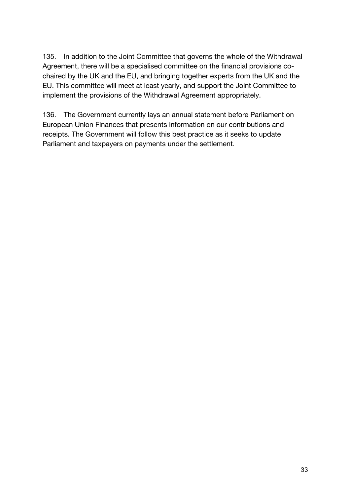135. In addition to the Joint Committee that governs the whole of the Withdrawal Agreement, there will be a specialised committee on the financial provisions cochaired by the UK and the EU, and bringing together experts from the UK and the EU. This committee will meet at least yearly, and support the Joint Committee to implement the provisions of the Withdrawal Agreement appropriately.

136. The Government currently lays an annual statement before Parliament on European Union Finances that presents information on our contributions and receipts. The Government will follow this best practice as it seeks to update Parliament and taxpayers on payments under the settlement.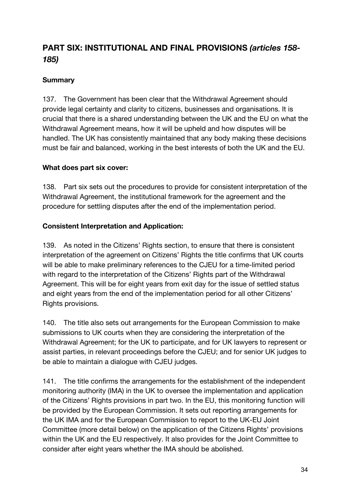# **PART SIX: INSTITUTIONAL AND FINAL PROVISIONS** *(articles 158- 185)*

# **Summary**

137. The Government has been clear that the Withdrawal Agreement should provide legal certainty and clarity to citizens, businesses and organisations. It is crucial that there is a shared understanding between the UK and the EU on what the Withdrawal Agreement means, how it will be upheld and how disputes will be handled. The UK has consistently maintained that any body making these decisions must be fair and balanced, working in the best interests of both the UK and the EU.

#### **What does part six cover:**

138. Part six sets out the procedures to provide for consistent interpretation of the Withdrawal Agreement, the institutional framework for the agreement and the procedure for settling disputes after the end of the implementation period.

#### **Consistent Interpretation and Application:**

139. As noted in the Citizens' Rights section, to ensure that there is consistent interpretation of the agreement on Citizens' Rights the title confirms that UK courts will be able to make preliminary references to the CJEU for a time-limited period with regard to the interpretation of the Citizens' Rights part of the Withdrawal Agreement. This will be for eight years from exit day for the issue of settled status and eight years from the end of the implementation period for all other Citizens' Rights provisions.

140. The title also sets out arrangements for the European Commission to make submissions to UK courts when they are considering the interpretation of the Withdrawal Agreement; for the UK to participate, and for UK lawyers to represent or assist parties, in relevant proceedings before the CJEU; and for senior UK judges to be able to maintain a dialogue with CJEU judges.

141. The title confirms the arrangements for the establishment of the independent monitoring authority (IMA) in the UK to oversee the implementation and application of the Citizens' Rights provisions in part two. In the EU, this monitoring function will be provided by the European Commission. It sets out reporting arrangements for the UK IMA and for the European Commission to report to the UK-EU Joint Committee (more detail below) on the application of the Citizens Rights' provisions within the UK and the EU respectively. It also provides for the Joint Committee to consider after eight years whether the IMA should be abolished.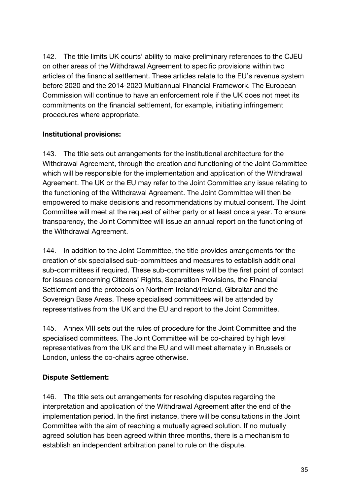142. The title limits UK courts' ability to make preliminary references to the CJEU on other areas of the Withdrawal Agreement to specific provisions within two articles of the financial settlement. These articles relate to the EU's revenue system before 2020 and the 2014-2020 Multiannual Financial Framework. The European Commission will continue to have an enforcement role if the UK does not meet its commitments on the financial settlement, for example, initiating infringement procedures where appropriate.

#### **Institutional provisions:**

143. The title sets out arrangements for the institutional architecture for the Withdrawal Agreement, through the creation and functioning of the Joint Committee which will be responsible for the implementation and application of the Withdrawal Agreement. The UK or the EU may refer to the Joint Committee any issue relating to the functioning of the Withdrawal Agreement. The Joint Committee will then be empowered to make decisions and recommendations by mutual consent. The Joint Committee will meet at the request of either party or at least once a year. To ensure transparency, the Joint Committee will issue an annual report on the functioning of the Withdrawal Agreement.

144. In addition to the Joint Committee, the title provides arrangements for the creation of six specialised sub-committees and measures to establish additional sub-committees if required. These sub-committees will be the first point of contact for issues concerning Citizens' Rights, Separation Provisions, the Financial Settlement and the protocols on Northern Ireland/Ireland, Gibraltar and the Sovereign Base Areas. These specialised committees will be attended by representatives from the UK and the EU and report to the Joint Committee.

145. Annex VIII sets out the rules of procedure for the Joint Committee and the specialised committees. The Joint Committee will be co-chaired by high level representatives from the UK and the EU and will meet alternately in Brussels or London, unless the co-chairs agree otherwise.

#### **Dispute Settlement:**

146. The title sets out arrangements for resolving disputes regarding the interpretation and application of the Withdrawal Agreement after the end of the implementation period. In the first instance, there will be consultations in the Joint Committee with the aim of reaching a mutually agreed solution. If no mutually agreed solution has been agreed within three months, there is a mechanism to establish an independent arbitration panel to rule on the dispute.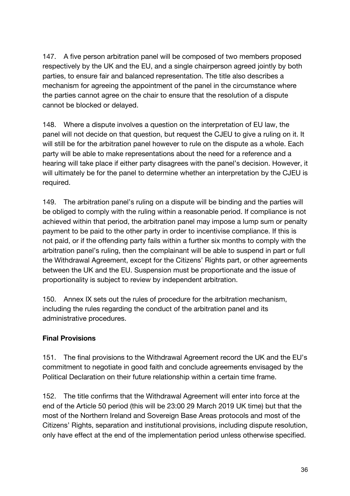147. A five person arbitration panel will be composed of two members proposed respectively by the UK and the EU, and a single chairperson agreed jointly by both parties, to ensure fair and balanced representation. The title also describes a mechanism for agreeing the appointment of the panel in the circumstance where the parties cannot agree on the chair to ensure that the resolution of a dispute cannot be blocked or delayed.

148. Where a dispute involves a question on the interpretation of EU law, the panel will not decide on that question, but request the CJEU to give a ruling on it. It will still be for the arbitration panel however to rule on the dispute as a whole. Each party will be able to make representations about the need for a reference and a hearing will take place if either party disagrees with the panel's decision. However, it will ultimately be for the panel to determine whether an interpretation by the CJEU is required.

149. The arbitration panel's ruling on a dispute will be binding and the parties will be obliged to comply with the ruling within a reasonable period. If compliance is not achieved within that period, the arbitration panel may impose a lump sum or penalty payment to be paid to the other party in order to incentivise compliance. If this is not paid, or if the offending party fails within a further six months to comply with the arbitration panel's ruling, then the complainant will be able to suspend in part or full the Withdrawal Agreement, except for the Citizens' Rights part, or other agreements between the UK and the EU. Suspension must be proportionate and the issue of proportionality is subject to review by independent arbitration.

150. Annex IX sets out the rules of procedure for the arbitration mechanism, including the rules regarding the conduct of the arbitration panel and its administrative procedures.

#### **Final Provisions**

151. The final provisions to the Withdrawal Agreement record the UK and the EU's commitment to negotiate in good faith and conclude agreements envisaged by the Political Declaration on their future relationship within a certain time frame.

152. The title confirms that the Withdrawal Agreement will enter into force at the end of the Article 50 period (this will be 23:00 29 March 2019 UK time) but that the most of the Northern Ireland and Sovereign Base Areas protocols and most of the Citizens' Rights, separation and institutional provisions, including dispute resolution, only have effect at the end of the implementation period unless otherwise specified.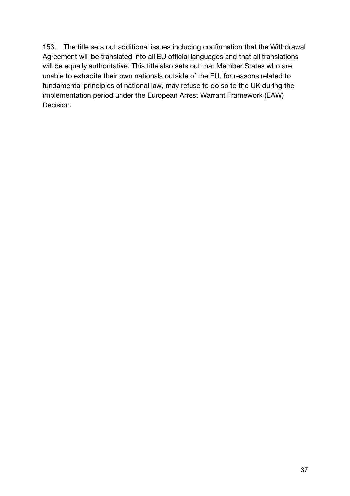153. The title sets out additional issues including confirmation that the Withdrawal Agreement will be translated into all EU official languages and that all translations will be equally authoritative. This title also sets out that Member States who are unable to extradite their own nationals outside of the EU, for reasons related to fundamental principles of national law, may refuse to do so to the UK during the implementation period under the European Arrest Warrant Framework (EAW) Decision.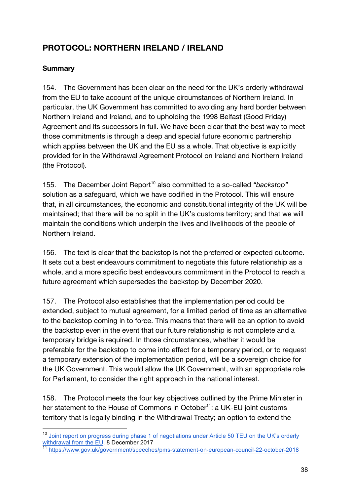# **PROTOCOL: NORTHERN IRELAND / IRELAND**

#### **Summary**

154. The Government has been clear on the need for the UK's orderly withdrawal from the EU to take account of the unique circumstances of Northern Ireland. In particular, the UK Government has committed to avoiding any hard border between Northern Ireland and Ireland, and to upholding the 1998 Belfast (Good Friday) Agreement and its successors in full. We have been clear that the best way to meet those commitments is through a deep and special future economic partnership which applies between the UK and the EU as a whole. That objective is explicitly provided for in the Withdrawal Agreement Protocol on Ireland and Northern Ireland (the Protocol).

155. The December Joint Report<sup>10</sup> also committed to a so-called "backstop" solution as a safeguard, which we have codified in the Protocol. This will ensure that, in all circumstances, the economic and constitutional integrity of the UK will be maintained; that there will be no split in the UK's customs territory; and that we will maintain the conditions which underpin the lives and livelihoods of the people of Northern Ireland.

156. The text is clear that the backstop is not the preferred or expected outcome. It sets out a best endeavours commitment to negotiate this future relationship as a whole, and a more specific best endeavours commitment in the Protocol to reach a future agreement which supersedes the backstop by December 2020.

157. The Protocol also establishes that the implementation period could be extended, subject to mutual agreement, for a limited period of time as an alternative to the backstop coming in to force. This means that there will be an option to avoid the backstop even in the event that our future relationship is not complete and a temporary bridge is required. In those circumstances, whether it would be preferable for the backstop to come into effect for a temporary period, or to request a temporary extension of the implementation period, will be a sovereign choice for the UK Government. This would allow the UK Government, with an appropriate role for Parliament, to consider the right approach in the national interest.

158. The Protocol meets the four key objectives outlined by the Prime Minister in her statement to the House of Commons in October<sup>11</sup>: a UK-EU joint customs territory that is legally binding in the Withdrawal Treaty; an option to extend the

<sup>&</sup>lt;sup>10</sup> Joint report on progress during phase 1 of negotiations under Article 50 TEU on the UK's orderly withdrawal from the EU, 8 December 2017

<sup>11</sup> https://www.gov.uk/government/speeches/pms-statement-on-european-council-22-october-2018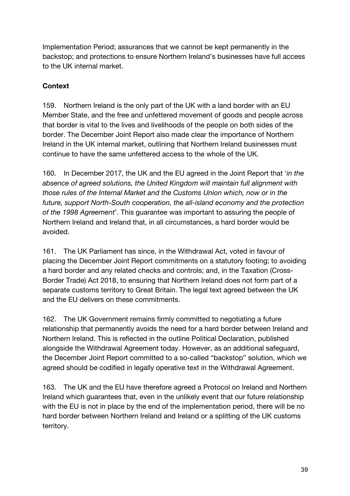Implementation Period; assurances that we cannot be kept permanently in the backstop; and protections to ensure Northern Ireland's businesses have full access to the UK internal market.

# **Context**

159. Northern Ireland is the only part of the UK with a land border with an EU Member State, and the free and unfettered movement of goods and people across that border is vital to the lives and livelihoods of the people on both sides of the border. The December Joint Report also made clear the importance of Northern Ireland in the UK internal market, outlining that Northern Ireland businesses must continue to have the same unfettered access to the whole of the UK.

160. In December 2017, the UK and the EU agreed in the Joint Report that '*in the absence of agreed solutions, the United Kingdom will maintain full alignment with those rules of the Internal Market and the Customs Union which, now or in the future, support North-South cooperation, the all-island economy and the protection of the 1998 Agreement*'. This guarantee was important to assuring the people of Northern Ireland and Ireland that, in all circumstances, a hard border would be avoided.

161. The UK Parliament has since, in the Withdrawal Act, voted in favour of placing the December Joint Report commitments on a statutory footing; to avoiding a hard border and any related checks and controls; and, in the Taxation (Cross-Border Trade) Act 2018, to ensuring that Northern Ireland does not form part of a separate customs territory to Great Britain. The legal text agreed between the UK and the EU delivers on these commitments.

162. The UK Government remains firmly committed to negotiating a future relationship that permanently avoids the need for a hard border between Ireland and Northern Ireland. This is reflected in the outline Political Declaration, published alongside the Withdrawal Agreement today. However, as an additional safeguard, the December Joint Report committed to a so-called "backstop" solution, which we agreed should be codified in legally operative text in the Withdrawal Agreement.

163. The UK and the EU have therefore agreed a Protocol on Ireland and Northern Ireland which guarantees that, even in the unlikely event that our future relationship with the EU is not in place by the end of the implementation period, there will be no hard border between Northern Ireland and Ireland or a splitting of the UK customs territory.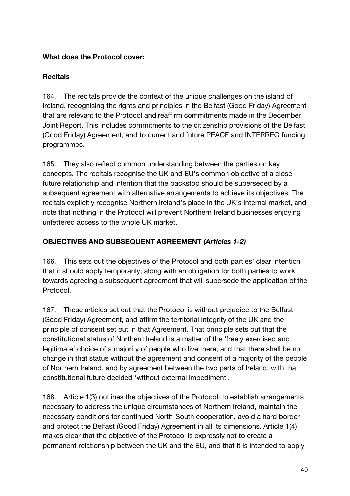#### **What does the Protocol cover:**

#### **Recitals**

164. The recitals provide the context of the unique challenges on the island of Ireland, recognising the rights and principles in the Belfast (Good Friday) Agreement that are relevant to the Protocol and reaffirm commitments made in the December Joint Report. This includes commitments to the citizenship provisions of the Belfast (Good Friday) Agreement, and to current and future PEACE and INTERREG funding programmes.

165. They also reflect common understanding between the parties on key concepts. The recitals recognise the UK and EU's common objective of a close future relationship and intention that the backstop should be superseded by a subsequent agreement with alternative arrangements to achieve its objectives. The recitals explicitly recognise Northern Ireland's place in the UK's internal market, and note that nothing in the Protocol will prevent Northern Ireland businesses enjoying unfettered access to the whole UK market.

#### **OBJECTIVES AND SUBSEQUENT AGREEMENT** *(Articles 1-2)*

166. This sets out the objectives of the Protocol and both parties' clear intention that it should apply temporarily, along with an obligation for both parties to work towards agreeing a subsequent agreement that will supersede the application of the Protocol.

167. These articles set out that the Protocol is without prejudice to the Belfast (Good Friday) Agreement, and affirm the territorial integrity of the UK and the principle of consent set out in that Agreement. That principle sets out that the constitutional status of Northern Ireland is a matter of the 'freely exercised and legitimate' choice of a majority of people who live there; and that there shall be no change in that status without the agreement and consent of a majority of the people of Northern Ireland, and by agreement between the two parts of Ireland, with that constitutional future decided 'without external impediment'.

168. Article 1(3) outlines the objectives of the Protocol: to establish arrangements necessary to address the unique circumstances of Northern Ireland, maintain the necessary conditions for continued North-South cooperation, avoid a hard border and protect the Belfast (Good Friday) Agreement in all its dimensions. Article 1(4) makes clear that the objective of the Protocol is expressly not to create a permanent relationship between the UK and the EU, and that it is intended to apply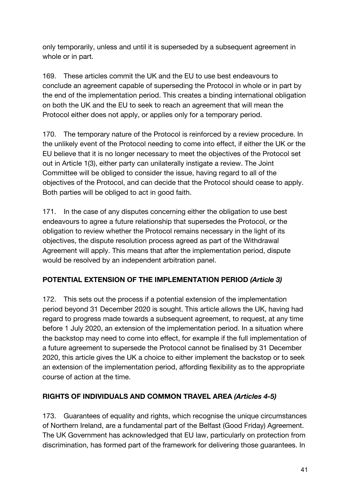only temporarily, unless and until it is superseded by a subsequent agreement in whole or in part.

169. These articles commit the UK and the EU to use best endeavours to conclude an agreement capable of superseding the Protocol in whole or in part by the end of the implementation period. This creates a binding international obligation on both the UK and the EU to seek to reach an agreement that will mean the Protocol either does not apply, or applies only for a temporary period.

170. The temporary nature of the Protocol is reinforced by a review procedure. In the unlikely event of the Protocol needing to come into effect, if either the UK or the EU believe that it is no longer necessary to meet the objectives of the Protocol set out in Article 1(3), either party can unilaterally instigate a review. The Joint Committee will be obliged to consider the issue, having regard to all of the objectives of the Protocol, and can decide that the Protocol should cease to apply. Both parties will be obliged to act in good faith.

171. In the case of any disputes concerning either the obligation to use best endeavours to agree a future relationship that supersedes the Protocol, or the obligation to review whether the Protocol remains necessary in the light of its objectives, the dispute resolution process agreed as part of the Withdrawal Agreement will apply. This means that after the implementation period, dispute would be resolved by an independent arbitration panel.

#### **POTENTIAL EXTENSION OF THE IMPLEMENTATION PERIOD** *(Article 3)*

172. This sets out the process if a potential extension of the implementation period beyond 31 December 2020 is sought. This article allows the UK, having had regard to progress made towards a subsequent agreement, to request, at any time before 1 July 2020, an extension of the implementation period. In a situation where the backstop may need to come into effect, for example if the full implementation of a future agreement to supersede the Protocol cannot be finalised by 31 December 2020, this article gives the UK a choice to either implement the backstop or to seek an extension of the implementation period, affording flexibility as to the appropriate course of action at the time.

# **RIGHTS OF INDIVIDUALS AND COMMON TRAVEL AREA** *(Articles 4-5)*

173. Guarantees of equality and rights, which recognise the unique circumstances of Northern Ireland, are a fundamental part of the Belfast (Good Friday) Agreement. The UK Government has acknowledged that EU law, particularly on protection from discrimination, has formed part of the framework for delivering those guarantees. In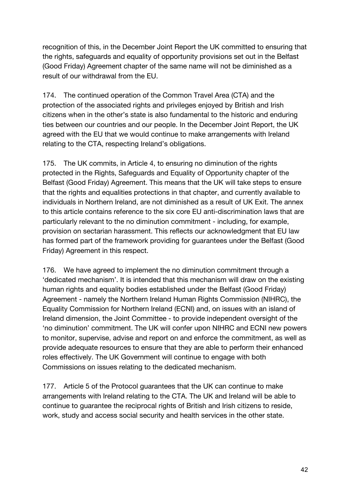recognition of this, in the December Joint Report the UK committed to ensuring that the rights, safeguards and equality of opportunity provisions set out in the Belfast (Good Friday) Agreement chapter of the same name will not be diminished as a result of our withdrawal from the EU.

174. The continued operation of the Common Travel Area (CTA) and the protection of the associated rights and privileges enjoyed by British and Irish citizens when in the other's state is also fundamental to the historic and enduring ties between our countries and our people. In the December Joint Report, the UK agreed with the EU that we would continue to make arrangements with Ireland relating to the CTA, respecting Ireland's obligations.

175. The UK commits, in Article 4, to ensuring no diminution of the rights protected in the Rights, Safeguards and Equality of Opportunity chapter of the Belfast (Good Friday) Agreement. This means that the UK will take steps to ensure that the rights and equalities protections in that chapter, and currently available to individuals in Northern Ireland, are not diminished as a result of UK Exit. The annex to this article contains reference to the six core EU anti-discrimination laws that are particularly relevant to the no diminution commitment - including, for example, provision on sectarian harassment. This reflects our acknowledgment that EU law has formed part of the framework providing for guarantees under the Belfast (Good Friday) Agreement in this respect.

176. We have agreed to implement the no diminution commitment through a 'dedicated mechanism'. It is intended that this mechanism will draw on the existing human rights and equality bodies established under the Belfast (Good Friday) Agreement - namely the Northern Ireland Human Rights Commission (NIHRC), the Equality Commission for Northern Ireland (ECNI) and, on issues with an island of Ireland dimension, the Joint Committee - to provide independent oversight of the 'no diminution' commitment. The UK will confer upon NIHRC and ECNI new powers to monitor, supervise, advise and report on and enforce the commitment, as well as provide adequate resources to ensure that they are able to perform their enhanced roles effectively. The UK Government will continue to engage with both Commissions on issues relating to the dedicated mechanism.

177. Article 5 of the Protocol guarantees that the UK can continue to make arrangements with Ireland relating to the CTA. The UK and Ireland will be able to continue to guarantee the reciprocal rights of British and Irish citizens to reside, work, study and access social security and health services in the other state.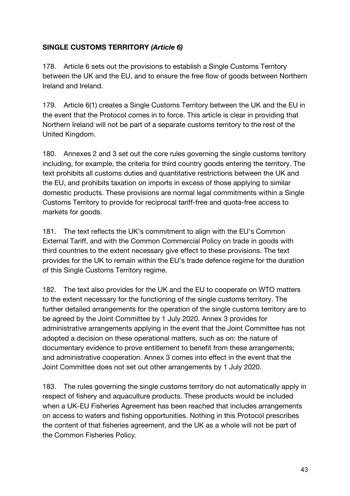# **SINGLE CUSTOMS TERRITORY** *(Article 6)*

178. Article 6 sets out the provisions to establish a Single Customs Territory between the UK and the EU, and to ensure the free flow of goods between Northern Ireland and Ireland.

179. Article 6(1) creates a Single Customs Territory between the UK and the EU in the event that the Protocol comes in to force. This article is clear in providing that Northern Ireland will not be part of a separate customs territory to the rest of the United Kingdom.

180. Annexes 2 and 3 set out the core rules governing the single customs territory including, for example, the criteria for third country goods entering the territory. The text prohibits all customs duties and quantitative restrictions between the UK and the EU, and prohibits taxation on imports in excess of those applying to similar domestic products. These provisions are normal legal commitments within a Single Customs Territory to provide for reciprocal tariff-free and quota-free access to markets for goods.

181. The text reflects the UK's commitment to align with the EU's Common External Tariff, and with the Common Commercial Policy on trade in goods with third countries to the extent necessary give effect to these provisions. The text provides for the UK to remain within the EU's trade defence regime for the duration of this Single Customs Territory regime.

182. The text also provides for the UK and the EU to cooperate on WTO matters to the extent necessary for the functioning of the single customs territory. The further detailed arrangements for the operation of the single customs territory are to be agreed by the Joint Committee by 1 July 2020. Annex 3 provides for administrative arrangements applying in the event that the Joint Committee has not adopted a decision on these operational matters, such as on: the nature of documentary evidence to prove entitlement to benefit from these arrangements; and administrative cooperation. Annex 3 comes into effect in the event that the Joint Committee does not set out other arrangements by 1 July 2020.

183. The rules governing the single customs territory do not automatically apply in respect of fishery and aquaculture products. These products would be included when a UK-EU Fisheries Agreement has been reached that includes arrangements on access to waters and fishing opportunities. Nothing in this Protocol prescribes the content of that fisheries agreement, and the UK as a whole will not be part of the Common Fisheries Policy.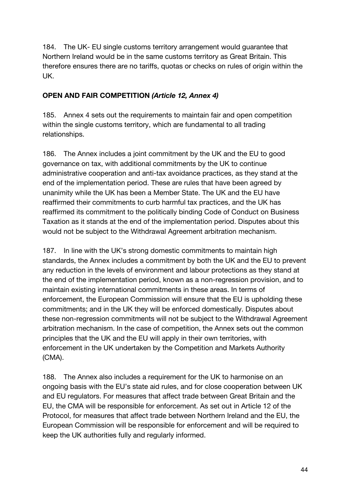184. The UK- EU single customs territory arrangement would guarantee that Northern Ireland would be in the same customs territory as Great Britain. This therefore ensures there are no tariffs, quotas or checks on rules of origin within the UK.

# **OPEN AND FAIR COMPETITION** *(Article 12, Annex 4)*

185. Annex 4 sets out the requirements to maintain fair and open competition within the single customs territory, which are fundamental to all trading relationships.

186. The Annex includes a joint commitment by the UK and the EU to good governance on tax, with additional commitments by the UK to continue administrative cooperation and anti-tax avoidance practices, as they stand at the end of the implementation period. These are rules that have been agreed by unanimity while the UK has been a Member State. The UK and the EU have reaffirmed their commitments to curb harmful tax practices, and the UK has reaffirmed its commitment to the politically binding Code of Conduct on Business Taxation as it stands at the end of the implementation period. Disputes about this would not be subject to the Withdrawal Agreement arbitration mechanism.

187. In line with the UK's strong domestic commitments to maintain high standards, the Annex includes a commitment by both the UK and the EU to prevent any reduction in the levels of environment and labour protections as they stand at the end of the implementation period, known as a non-regression provision, and to maintain existing international commitments in these areas. In terms of enforcement, the European Commission will ensure that the EU is upholding these commitments; and in the UK they will be enforced domestically. Disputes about these non-regression commitments will not be subject to the Withdrawal Agreement arbitration mechanism. In the case of competition, the Annex sets out the common principles that the UK and the EU will apply in their own territories, with enforcement in the UK undertaken by the Competition and Markets Authority (CMA).

188. The Annex also includes a requirement for the UK to harmonise on an ongoing basis with the EU's state aid rules, and for close cooperation between UK and EU regulators. For measures that affect trade between Great Britain and the EU, the CMA will be responsible for enforcement. As set out in Article 12 of the Protocol, for measures that affect trade between Northern Ireland and the EU, the European Commission will be responsible for enforcement and will be required to keep the UK authorities fully and regularly informed.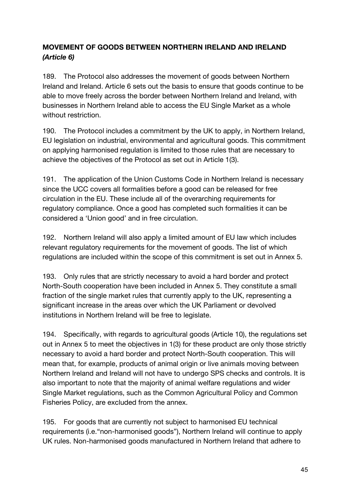# **MOVEMENT OF GOODS BETWEEN NORTHERN IRELAND AND IRELAND**  *(Article 6)*

189. The Protocol also addresses the movement of goods between Northern Ireland and Ireland. Article 6 sets out the basis to ensure that goods continue to be able to move freely across the border between Northern Ireland and Ireland, with businesses in Northern Ireland able to access the EU Single Market as a whole without restriction.

190. The Protocol includes a commitment by the UK to apply, in Northern Ireland, EU legislation on industrial, environmental and agricultural goods. This commitment on applying harmonised regulation is limited to those rules that are necessary to achieve the objectives of the Protocol as set out in Article 1(3).

191. The application of the Union Customs Code in Northern Ireland is necessary since the UCC covers all formalities before a good can be released for free circulation in the EU. These include all of the overarching requirements for regulatory compliance. Once a good has completed such formalities it can be considered a 'Union good' and in free circulation.

192. Northern Ireland will also apply a limited amount of EU law which includes relevant regulatory requirements for the movement of goods. The list of which regulations are included within the scope of this commitment is set out in Annex 5.

193. Only rules that are strictly necessary to avoid a hard border and protect North-South cooperation have been included in Annex 5. They constitute a small fraction of the single market rules that currently apply to the UK, representing a significant increase in the areas over which the UK Parliament or devolved institutions in Northern Ireland will be free to legislate.

194. Specifically, with regards to agricultural goods (Article 10), the regulations set out in Annex 5 to meet the objectives in 1(3) for these product are only those strictly necessary to avoid a hard border and protect North-South cooperation. This will mean that, for example, products of animal origin or live animals moving between Northern Ireland and Ireland will not have to undergo SPS checks and controls. It is also important to note that the majority of animal welfare regulations and wider Single Market regulations, such as the Common Agricultural Policy and Common Fisheries Policy, are excluded from the annex.

195. For goods that are currently not subject to harmonised EU technical requirements (i.e."non-harmonised goods"), Northern Ireland will continue to apply UK rules. Non-harmonised goods manufactured in Northern Ireland that adhere to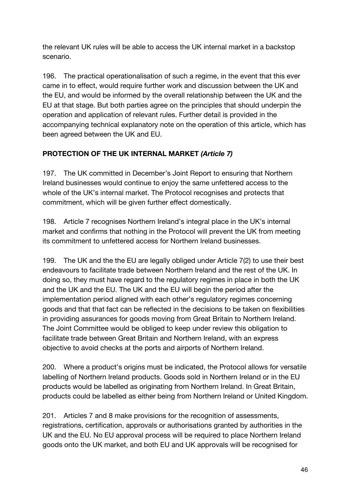the relevant UK rules will be able to access the UK internal market in a backstop scenario.

196. The practical operationalisation of such a regime, in the event that this ever came in to effect, would require further work and discussion between the UK and the EU, and would be informed by the overall relationship between the UK and the EU at that stage. But both parties agree on the principles that should underpin the operation and application of relevant rules. Further detail is provided in the accompanying technical explanatory note on the operation of this article, which has been agreed between the UK and EU.

# **PROTECTION OF THE UK INTERNAL MARKET** *(Article 7)*

197. The UK committed in December's Joint Report to ensuring that Northern Ireland businesses would continue to enjoy the same unfettered access to the whole of the UK's internal market. The Protocol recognises and protects that commitment, which will be given further effect domestically.

198. Article 7 recognises Northern Ireland's integral place in the UK's internal market and confirms that nothing in the Protocol will prevent the UK from meeting its commitment to unfettered access for Northern Ireland businesses.

199. The UK and the the EU are legally obliged under Article 7(2) to use their best endeavours to facilitate trade between Northern Ireland and the rest of the UK. In doing so, they must have regard to the regulatory regimes in place in both the UK and the UK and the EU. The UK and the EU will begin the period after the implementation period aligned with each other's regulatory regimes concerning goods and that that fact can be reflected in the decisions to be taken on flexibilities in providing assurances for goods moving from Great Britain to Northern Ireland. The Joint Committee would be obliged to keep under review this obligation to facilitate trade between Great Britain and Northern Ireland, with an express objective to avoid checks at the ports and airports of Northern Ireland.

200. Where a product's origins must be indicated, the Protocol allows for versatile labelling of Northern Ireland products. Goods sold in Northern Ireland or in the EU products would be labelled as originating from Northern Ireland. In Great Britain, products could be labelled as either being from Northern Ireland or United Kingdom.

201. Articles 7 and 8 make provisions for the recognition of assessments, registrations, certification, approvals or authorisations granted by authorities in the UK and the EU. No EU approval process will be required to place Northern Ireland goods onto the UK market, and both EU and UK approvals will be recognised for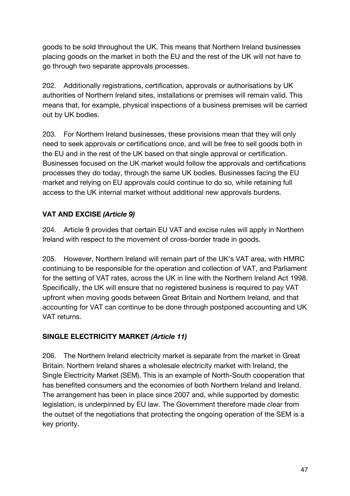goods to be sold throughout the UK. This means that Northern Ireland businesses placing goods on the market in both the EU and the rest of the UK will not have to go through two separate approvals processes.

202. Additionally registrations, certification, approvals or authorisations by UK authorities of Northern Ireland sites, installations or premises will remain valid. This means that, for example, physical inspections of a business premises will be carried out by UK bodies.

203. For Northern Ireland businesses, these provisions mean that they will only need to seek approvals or certifications once, and will be free to sell goods both in the EU and in the rest of the UK based on that single approval or certification. Businesses focused on the UK market would follow the approvals and certifications processes they do today, through the same UK bodies. Businesses facing the EU market and relying on EU approvals could continue to do so, while retaining full access to the UK internal market without additional new approvals burdens.

# **VAT AND EXCISE** *(Article 9)*

204. Article 9 provides that certain EU VAT and excise rules will apply in Northern Ireland with respect to the movement of cross-border trade in goods.

205. However, Northern Ireland will remain part of the UK's VAT area, with HMRC continuing to be responsible for the operation and collection of VAT, and Parliament for the setting of VAT rates, across the UK in line with the Northern Ireland Act 1998. Specifically, the UK will ensure that no registered business is required to pay VAT upfront when moving goods between Great Britain and Northern Ireland, and that accounting for VAT can continue to be done through postponed accounting and UK VAT returns.

# **SINGLE ELECTRICITY MARKET** *(Article 11)*

206. The Northern Ireland electricity market is separate from the market in Great Britain. Northern Ireland shares a wholesale electricity market with Ireland, the Single Electricity Market (SEM). This is an example of North-South cooperation that has benefited consumers and the economies of both Northern Ireland and Ireland. The arrangement has been in place since 2007 and, while supported by domestic legislation, is underpinned by EU law. The Government therefore made clear from the outset of the negotiations that protecting the ongoing operation of the SEM is a key priority.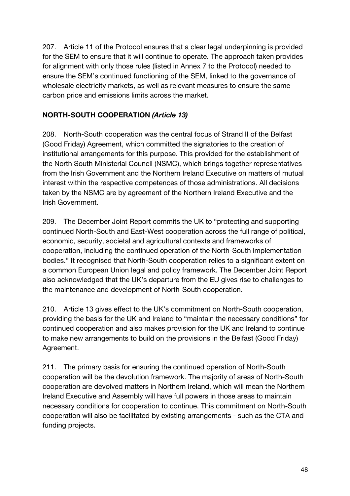207. Article 11 of the Protocol ensures that a clear legal underpinning is provided for the SEM to ensure that it will continue to operate. The approach taken provides for alignment with only those rules (listed in Annex 7 to the Protocol) needed to ensure the SEM's continued functioning of the SEM, linked to the governance of wholesale electricity markets, as well as relevant measures to ensure the same carbon price and emissions limits across the market.

# **NORTH-SOUTH COOPERATION** *(Article 13)*

208. North-South cooperation was the central focus of Strand II of the Belfast (Good Friday) Agreement, which committed the signatories to the creation of institutional arrangements for this purpose. This provided for the establishment of the North South Ministerial Council (NSMC), which brings together representatives from the Irish Government and the Northern Ireland Executive on matters of mutual interest within the respective competences of those administrations. All decisions taken by the NSMC are by agreement of the Northern Ireland Executive and the Irish Government.

209. The December Joint Report commits the UK to "protecting and supporting continued North-South and East-West cooperation across the full range of political, economic, security, societal and agricultural contexts and frameworks of cooperation, including the continued operation of the North-South implementation bodies." It recognised that North-South cooperation relies to a significant extent on a common European Union legal and policy framework. The December Joint Report also acknowledged that the UK's departure from the EU gives rise to challenges to the maintenance and development of North-South cooperation.

210. Article 13 gives effect to the UK's commitment on North-South cooperation, providing the basis for the UK and Ireland to "maintain the necessary conditions" for continued cooperation and also makes provision for the UK and Ireland to continue to make new arrangements to build on the provisions in the Belfast (Good Friday) Agreement.

211. The primary basis for ensuring the continued operation of North-South cooperation will be the devolution framework. The majority of areas of North-South cooperation are devolved matters in Northern Ireland, which will mean the Northern Ireland Executive and Assembly will have full powers in those areas to maintain necessary conditions for cooperation to continue. This commitment on North-South cooperation will also be facilitated by existing arrangements - such as the CTA and funding projects.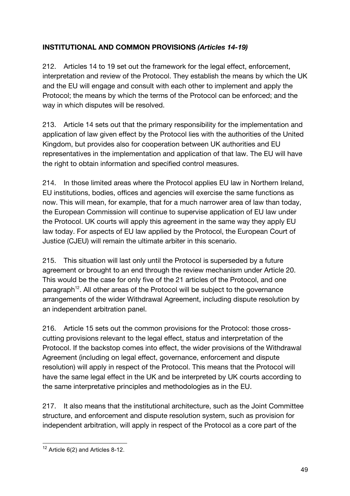# **INSTITUTIONAL AND COMMON PROVISIONS** *(Articles 14-19)*

212. Articles 14 to 19 set out the framework for the legal effect, enforcement, interpretation and review of the Protocol. They establish the means by which the UK and the EU will engage and consult with each other to implement and apply the Protocol; the means by which the terms of the Protocol can be enforced; and the way in which disputes will be resolved.

213. Article 14 sets out that the primary responsibility for the implementation and application of law given effect by the Protocol lies with the authorities of the United Kingdom, but provides also for cooperation between UK authorities and EU representatives in the implementation and application of that law. The EU will have the right to obtain information and specified control measures.

214. In those limited areas where the Protocol applies EU law in Northern Ireland, EU institutions, bodies, offices and agencies will exercise the same functions as now. This will mean, for example, that for a much narrower area of law than today, the European Commission will continue to supervise application of EU law under the Protocol. UK courts will apply this agreement in the same way they apply EU law today. For aspects of EU law applied by the Protocol, the European Court of Justice (CJEU) will remain the ultimate arbiter in this scenario.

215. This situation will last only until the Protocol is superseded by a future agreement or brought to an end through the review mechanism under Article 20. This would be the case for only five of the 21 articles of the Protocol, and one paragraph<sup>12</sup>. All other areas of the Protocol will be subject to the governance arrangements of the wider Withdrawal Agreement, including dispute resolution by an independent arbitration panel.

216. Article 15 sets out the common provisions for the Protocol: those crosscutting provisions relevant to the legal effect, status and interpretation of the Protocol. If the backstop comes into effect, the wider provisions of the Withdrawal Agreement (including on legal effect, governance, enforcement and dispute resolution) will apply in respect of the Protocol. This means that the Protocol will have the same legal effect in the UK and be interpreted by UK courts according to the same interpretative principles and methodologies as in the EU.

217. It also means that the institutional architecture, such as the Joint Committee structure, and enforcement and dispute resolution system, such as provision for independent arbitration, will apply in respect of the Protocol as a core part of the

 $12$  Article 6(2) and Articles 8-12.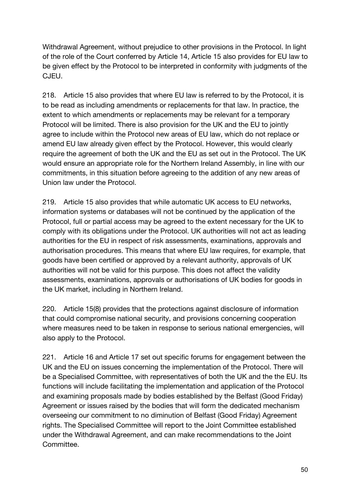Withdrawal Agreement, without prejudice to other provisions in the Protocol. In light of the role of the Court conferred by Article 14, Article 15 also provides for EU law to be given effect by the Protocol to be interpreted in conformity with judgments of the CJEU.

218. Article 15 also provides that where EU law is referred to by the Protocol, it is to be read as including amendments or replacements for that law. In practice, the extent to which amendments or replacements may be relevant for a temporary Protocol will be limited. There is also provision for the UK and the EU to jointly agree to include within the Protocol new areas of EU law, which do not replace or amend EU law already given effect by the Protocol. However, this would clearly require the agreement of both the UK and the EU as set out in the Protocol. The UK would ensure an appropriate role for the Northern Ireland Assembly, in line with our commitments, in this situation before agreeing to the addition of any new areas of Union law under the Protocol.

219. Article 15 also provides that while automatic UK access to EU networks, information systems or databases will not be continued by the application of the Protocol, full or partial access may be agreed to the extent necessary for the UK to comply with its obligations under the Protocol. UK authorities will not act as leading authorities for the EU in respect of risk assessments, examinations, approvals and authorisation procedures. This means that where EU law requires, for example, that goods have been certified or approved by a relevant authority, approvals of UK authorities will not be valid for this purpose. This does not affect the validity assessments, examinations, approvals or authorisations of UK bodies for goods in the UK market, including in Northern Ireland.

220. Article 15(8) provides that the protections against disclosure of information that could compromise national security, and provisions concerning cooperation where measures need to be taken in response to serious national emergencies, will also apply to the Protocol.

221. Article 16 and Article 17 set out specific forums for engagement between the UK and the EU on issues concerning the implementation of the Protocol. There will be a Specialised Committee, with representatives of both the UK and the the EU. Its functions will include facilitating the implementation and application of the Protocol and examining proposals made by bodies established by the Belfast (Good Friday) Agreement or issues raised by the bodies that will form the dedicated mechanism overseeing our commitment to no diminution of Belfast (Good Friday) Agreement rights. The Specialised Committee will report to the Joint Committee established under the Withdrawal Agreement, and can make recommendations to the Joint Committee.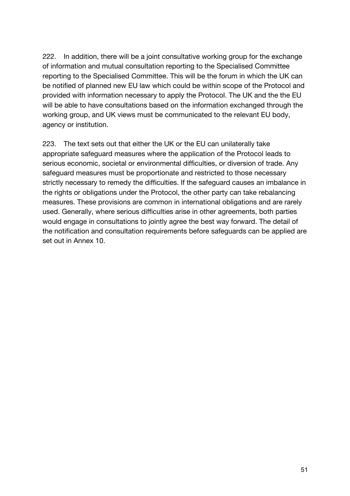222. In addition, there will be a joint consultative working group for the exchange of information and mutual consultation reporting to the Specialised Committee reporting to the Specialised Committee. This will be the forum in which the UK can be notified of planned new EU law which could be within scope of the Protocol and provided with information necessary to apply the Protocol. The UK and the the EU will be able to have consultations based on the information exchanged through the working group, and UK views must be communicated to the relevant EU body, agency or institution.

223. The text sets out that either the UK or the EU can unilaterally take appropriate safeguard measures where the application of the Protocol leads to serious economic, societal or environmental difficulties, or diversion of trade. Any safeguard measures must be proportionate and restricted to those necessary strictly necessary to remedy the difficulties. If the safeguard causes an imbalance in the rights or obligations under the Protocol, the other party can take rebalancing measures. These provisions are common in international obligations and are rarely used. Generally, where serious difficulties arise in other agreements, both parties would engage in consultations to jointly agree the best way forward. The detail of the notification and consultation requirements before safeguards can be applied are set out in Annex 10.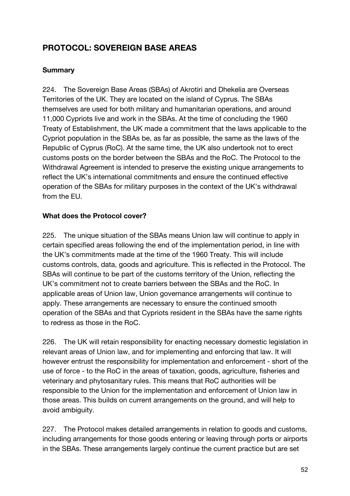# **PROTOCOL: SOVEREIGN BASE AREAS**

#### **Summary**

224. The Sovereign Base Areas (SBAs) of Akrotiri and Dhekelia are Overseas Territories of the UK. They are located on the island of Cyprus. The SBAs themselves are used for both military and humanitarian operations, and around 11,000 Cypriots live and work in the SBAs. At the time of concluding the 1960 Treaty of Establishment, the UK made a commitment that the laws applicable to the Cypriot population in the SBAs be, as far as possible, the same as the laws of the Republic of Cyprus (RoC). At the same time, the UK also undertook not to erect customs posts on the border between the SBAs and the RoC. The Protocol to the Withdrawal Agreement is intended to preserve the existing unique arrangements to reflect the UK's international commitments and ensure the continued effective operation of the SBAs for military purposes in the context of the UK's withdrawal from the EU.

#### **What does the Protocol cover?**

225. The unique situation of the SBAs means Union law will continue to apply in certain specified areas following the end of the implementation period, in line with the UK's commitments made at the time of the 1960 Treaty. This will include customs controls, data, goods and agriculture. This is reflected in the Protocol. The SBAs will continue to be part of the customs territory of the Union, reflecting the UK's commitment not to create barriers between the SBAs and the RoC. In applicable areas of Union law, Union governance arrangements will continue to apply. These arrangements are necessary to ensure the continued smooth operation of the SBAs and that Cypriots resident in the SBAs have the same rights to redress as those in the RoC.

226. The UK will retain responsibility for enacting necessary domestic legislation in relevant areas of Union law, and for implementing and enforcing that law. It will however entrust the responsibility for implementation and enforcement - short of the use of force - to the RoC in the areas of taxation, goods, agriculture, fisheries and veterinary and phytosanitary rules. This means that RoC authorities will be responsible to the Union for the implementation and enforcement of Union law in those areas. This builds on current arrangements on the ground, and will help to avoid ambiguity.

227. The Protocol makes detailed arrangements in relation to goods and customs, including arrangements for those goods entering or leaving through ports or airports in the SBAs. These arrangements largely continue the current practice but are set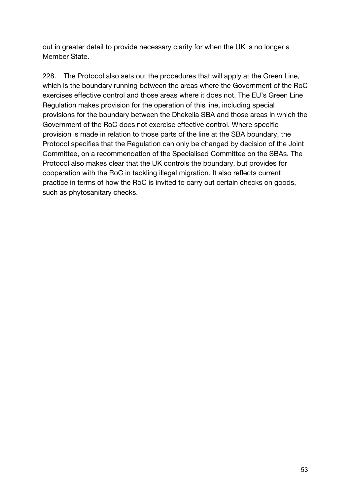out in greater detail to provide necessary clarity for when the UK is no longer a Member State.

228. The Protocol also sets out the procedures that will apply at the Green Line, which is the boundary running between the areas where the Government of the RoC exercises effective control and those areas where it does not. The EU's Green Line Regulation makes provision for the operation of this line, including special provisions for the boundary between the Dhekelia SBA and those areas in which the Government of the RoC does not exercise effective control. Where specific provision is made in relation to those parts of the line at the SBA boundary, the Protocol specifies that the Regulation can only be changed by decision of the Joint Committee, on a recommendation of the Specialised Committee on the SBAs. The Protocol also makes clear that the UK controls the boundary, but provides for cooperation with the RoC in tackling illegal migration. It also reflects current practice in terms of how the RoC is invited to carry out certain checks on goods, such as phytosanitary checks.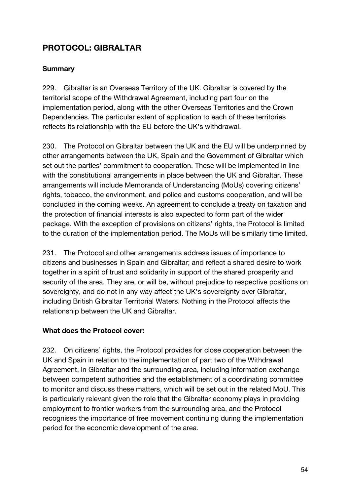# **PROTOCOL: GIBRALTAR**

#### **Summary**

229. Gibraltar is an Overseas Territory of the UK. Gibraltar is covered by the territorial scope of the Withdrawal Agreement, including part four on the implementation period, along with the other Overseas Territories and the Crown Dependencies. The particular extent of application to each of these territories reflects its relationship with the EU before the UK's withdrawal.

230. The Protocol on Gibraltar between the UK and the EU will be underpinned by other arrangements between the UK, Spain and the Government of Gibraltar which set out the parties' commitment to cooperation. These will be implemented in line with the constitutional arrangements in place between the UK and Gibraltar. These arrangements will include Memoranda of Understanding (MoUs) covering citizens' rights, tobacco, the environment, and police and customs cooperation, and will be concluded in the coming weeks. An agreement to conclude a treaty on taxation and the protection of financial interests is also expected to form part of the wider package. With the exception of provisions on citizens' rights, the Protocol is limited to the duration of the implementation period. The MoUs will be similarly time limited.

231. The Protocol and other arrangements address issues of importance to citizens and businesses in Spain and Gibraltar; and reflect a shared desire to work together in a spirit of trust and solidarity in support of the shared prosperity and security of the area. They are, or will be, without prejudice to respective positions on sovereignty, and do not in any way affect the UK's sovereignty over Gibraltar, including British Gibraltar Territorial Waters. Nothing in the Protocol affects the relationship between the UK and Gibraltar.

#### **What does the Protocol cover:**

232. On citizens' rights, the Protocol provides for close cooperation between the UK and Spain in relation to the implementation of part two of the Withdrawal Agreement, in Gibraltar and the surrounding area, including information exchange between competent authorities and the establishment of a coordinating committee to monitor and discuss these matters, which will be set out in the related MoU. This is particularly relevant given the role that the Gibraltar economy plays in providing employment to frontier workers from the surrounding area, and the Protocol recognises the importance of free movement continuing during the implementation period for the economic development of the area.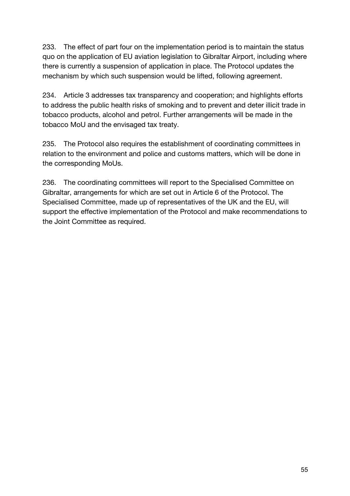233. The effect of part four on the implementation period is to maintain the status quo on the application of EU aviation legislation to Gibraltar Airport, including where there is currently a suspension of application in place. The Protocol updates the mechanism by which such suspension would be lifted, following agreement.

234. Article 3 addresses tax transparency and cooperation; and highlights efforts to address the public health risks of smoking and to prevent and deter illicit trade in tobacco products, alcohol and petrol. Further arrangements will be made in the tobacco MoU and the envisaged tax treaty.

235. The Protocol also requires the establishment of coordinating committees in relation to the environment and police and customs matters, which will be done in the corresponding MoUs.

236. The coordinating committees will report to the Specialised Committee on Gibraltar, arrangements for which are set out in Article 6 of the Protocol. The Specialised Committee, made up of representatives of the UK and the EU, will support the effective implementation of the Protocol and make recommendations to the Joint Committee as required.